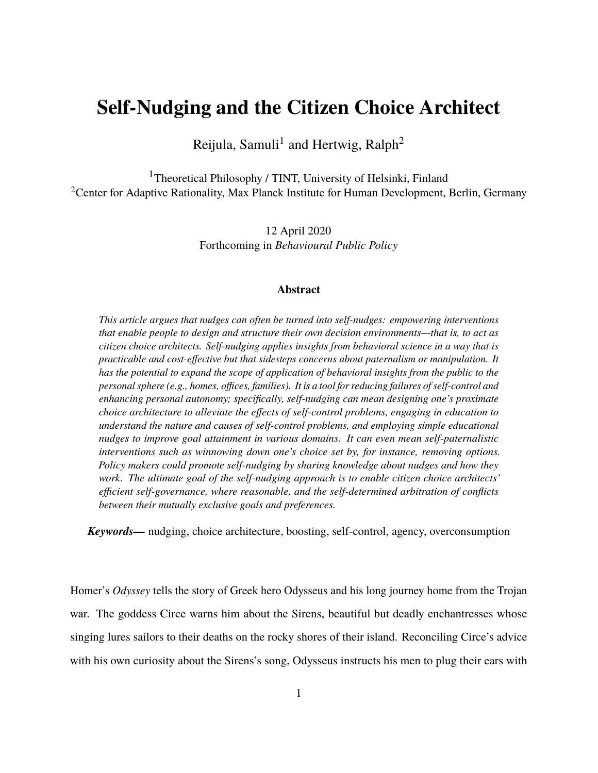# **Self-Nudging and the Citizen Choice Architect**

Reijula, Samuli<sup>1</sup> and Hertwig, Ralph<sup>2</sup>

<sup>1</sup>Theoretical Philosophy / TINT, University of Helsinki, Finland <sup>2</sup> Center for Adaptive Rationality, Max Planck Institute for Human Development, Berlin, Germany

> 12 April 2020 Forthcoming in *Behavioural Public Policy*

#### **Abstract**

*This article argues that nudges can often be turned into self-nudges: empowering interventions that enable people to design and structure their own decision environments—that is, to act as citizen choice architects. Self-nudging applies insights from behavioral science in a way that is practicable and cost-effective but that sidesteps concerns about paternalism or manipulation. It has the potential to expand the scope of application of behavioral insights from the public to the personal sphere (e.g., homes, offices, families). It is a tool for reducing failures of self-control and enhancing personal autonomy; specifically, self-nudging can mean designing one's proximate choice architecture to alleviate the effects of self-control problems, engaging in education to understand the nature and causes of self-control problems, and employing simple educational nudges to improve goal attainment in various domains. It can even mean self-paternalistic interventions such as winnowing down one's choice set by, for instance, removing options. Policy makers could promote self-nudging by sharing knowledge about nudges and how they work. The ultimate goal of the self-nudging approach is to enable citizen choice architects' efficient self-governance, where reasonable, and the self-determined arbitration of conflicts between their mutually exclusive goals and preferences.*

*Keywords—* nudging, choice architecture, boosting, self-control, agency, overconsumption

Homer's *Odyssey* tells the story of Greek hero Odysseus and his long journey home from the Trojan war. The goddess Circe warns him about the Sirens, beautiful but deadly enchantresses whose singing lures sailors to their deaths on the rocky shores of their island. Reconciling Circe's advice with his own curiosity about the Sirens's song, Odysseus instructs his men to plug their ears with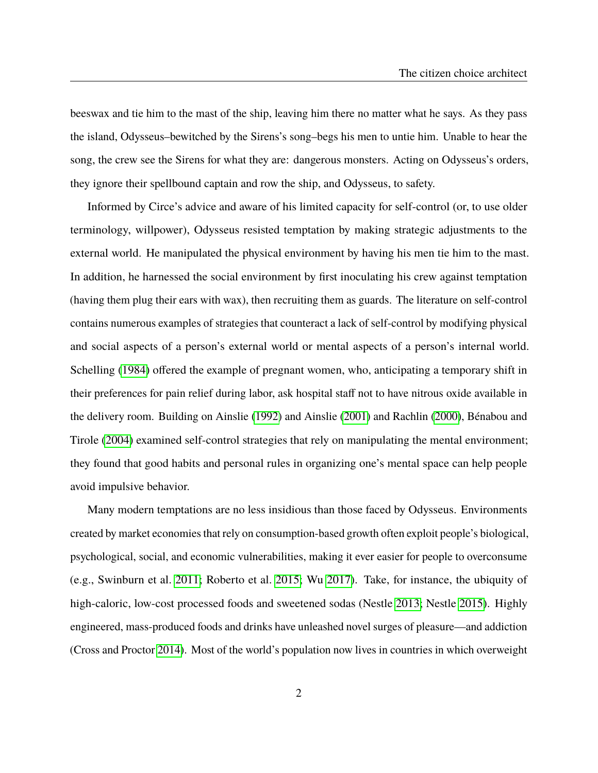beeswax and tie him to the mast of the ship, leaving him there no matter what he says. As they pass the island, Odysseus–bewitched by the Sirens's song–begs his men to untie him. Unable to hear the song, the crew see the Sirens for what they are: dangerous monsters. Acting on Odysseus's orders, they ignore their spellbound captain and row the ship, and Odysseus, to safety.

Informed by Circe's advice and aware of his limited capacity for self-control (or, to use older terminology, willpower), Odysseus resisted temptation by making strategic adjustments to the external world. He manipulated the physical environment by having his men tie him to the mast. In addition, he harnessed the social environment by first inoculating his crew against temptation (having them plug their ears with wax), then recruiting them as guards. The literature on self-control contains numerous examples of strategies that counteract a lack of self-control by modifying physical and social aspects of a person's external world or mental aspects of a person's internal world. Schelling [\(1984\)](#page-38-0) offered the example of pregnant women, who, anticipating a temporary shift in their preferences for pain relief during labor, ask hospital staff not to have nitrous oxide available in the delivery room. Building on Ainslie [\(1992\)](#page-34-0) and Ainslie [\(2001\)](#page-34-1) and Rachlin [\(2000\)](#page-38-1), Bénabou and Tirole [\(2004\)](#page-34-2) examined self-control strategies that rely on manipulating the mental environment; they found that good habits and personal rules in organizing one's mental space can help people avoid impulsive behavior.

Many modern temptations are no less insidious than those faced by Odysseus. Environments created by market economies that rely on consumption-based growth often exploit people's biological, psychological, social, and economic vulnerabilities, making it ever easier for people to overconsume (e.g., Swinburn et al. [2011;](#page-38-2) Roberto et al. [2015;](#page-38-3) Wu [2017\)](#page-39-0). Take, for instance, the ubiquity of high-caloric, low-cost processed foods and sweetened sodas (Nestle [2013;](#page-37-0) Nestle [2015\)](#page-37-1). Highly engineered, mass-produced foods and drinks have unleashed novel surges of pleasure—and addiction (Cross and Proctor [2014\)](#page-34-3). Most of the world's population now lives in countries in which overweight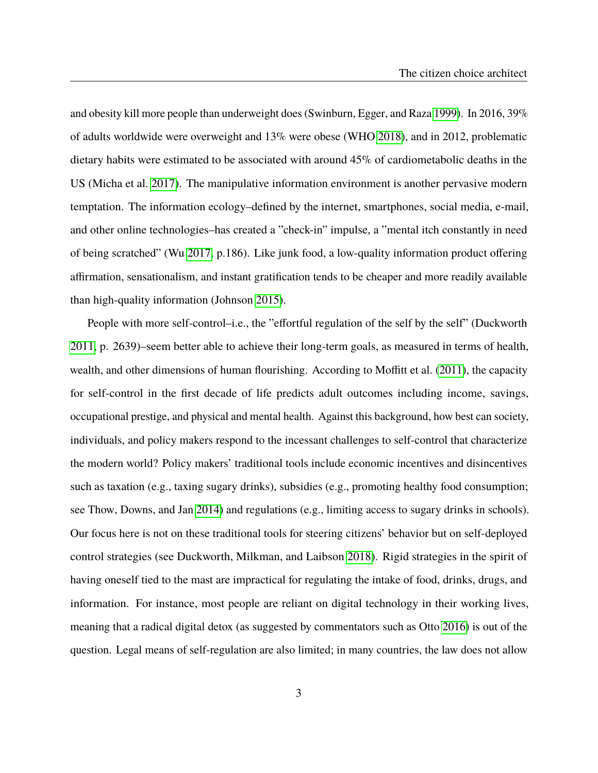and obesity kill more people than underweight does (Swinburn, Egger, and Raza [1999\)](#page-38-4). In 2016, 39% of adults worldwide were overweight and 13% were obese (WHO [2018\)](#page-39-1), and in 2012, problematic dietary habits were estimated to be associated with around 45% of cardiometabolic deaths in the US (Micha et al. [2017\)](#page-37-2). The manipulative information environment is another pervasive modern temptation. The information ecology–defined by the internet, smartphones, social media, e-mail, and other online technologies–has created a "check-in" impulse, a "mental itch constantly in need of being scratched" (Wu [2017,](#page-39-0) p.186). Like junk food, a low-quality information product offering affirmation, sensationalism, and instant gratification tends to be cheaper and more readily available than high-quality information (Johnson [2015\)](#page-36-0).

People with more self-control–i.e., the "effortful regulation of the self by the self" (Duckworth [2011,](#page-35-0) p. 2639)–seem better able to achieve their long-term goals, as measured in terms of health, wealth, and other dimensions of human flourishing. According to Moffitt et al. [\(2011\)](#page-37-3), the capacity for self-control in the first decade of life predicts adult outcomes including income, savings, occupational prestige, and physical and mental health. Against this background, how best can society, individuals, and policy makers respond to the incessant challenges to self-control that characterize the modern world? Policy makers' traditional tools include economic incentives and disincentives such as taxation (e.g., taxing sugary drinks), subsidies (e.g., promoting healthy food consumption; see Thow, Downs, and Jan [2014\)](#page-39-2) and regulations (e.g., limiting access to sugary drinks in schools). Our focus here is not on these traditional tools for steering citizens' behavior but on self-deployed control strategies (see Duckworth, Milkman, and Laibson [2018\)](#page-35-1). Rigid strategies in the spirit of having oneself tied to the mast are impractical for regulating the intake of food, drinks, drugs, and information. For instance, most people are reliant on digital technology in their working lives, meaning that a radical digital detox (as suggested by commentators such as Otto [2016\)](#page-38-5) is out of the question. Legal means of self-regulation are also limited; in many countries, the law does not allow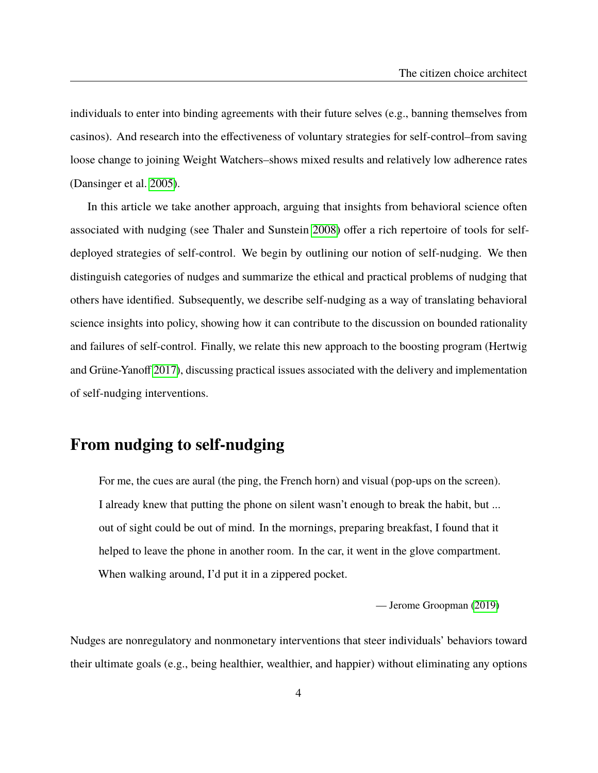individuals to enter into binding agreements with their future selves (e.g., banning themselves from casinos). And research into the effectiveness of voluntary strategies for self-control–from saving loose change to joining Weight Watchers–shows mixed results and relatively low adherence rates (Dansinger et al. [2005\)](#page-35-2).

In this article we take another approach, arguing that insights from behavioral science often associated with nudging (see Thaler and Sunstein [2008\)](#page-38-6) offer a rich repertoire of tools for selfdeployed strategies of self-control. We begin by outlining our notion of self-nudging. We then distinguish categories of nudges and summarize the ethical and practical problems of nudging that others have identified. Subsequently, we describe self-nudging as a way of translating behavioral science insights into policy, showing how it can contribute to the discussion on bounded rationality and failures of self-control. Finally, we relate this new approach to the boosting program (Hertwig and Grüne-Yanoff [2017\)](#page-36-1), discussing practical issues associated with the delivery and implementation of self-nudging interventions.

# **From nudging to self-nudging**

For me, the cues are aural (the ping, the French horn) and visual (pop-ups on the screen). I already knew that putting the phone on silent wasn't enough to break the habit, but ... out of sight could be out of mind. In the mornings, preparing breakfast, I found that it helped to leave the phone in another room. In the car, it went in the glove compartment. When walking around, I'd put it in a zippered pocket.

— Jerome Groopman [\(2019\)](#page-35-3)

Nudges are nonregulatory and nonmonetary interventions that steer individuals' behaviors toward their ultimate goals (e.g., being healthier, wealthier, and happier) without eliminating any options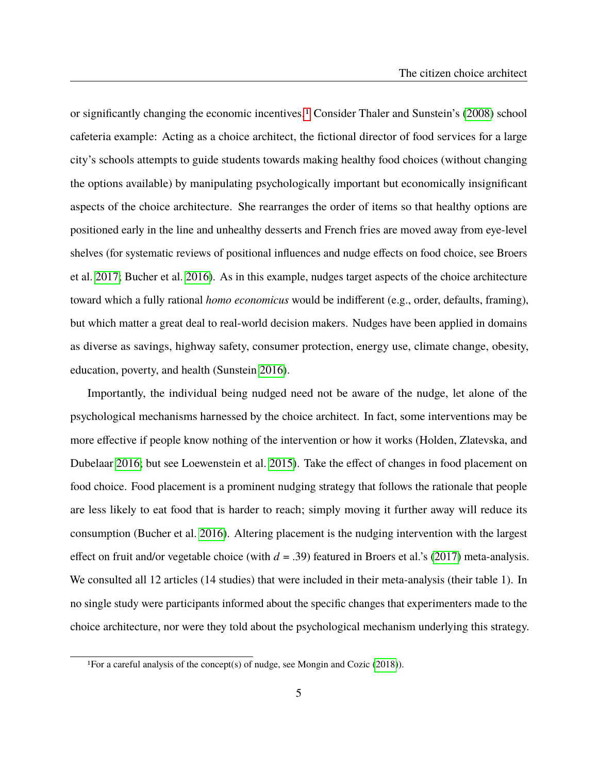or significantly changing the economic incentives.[1](#page-4-0) Consider Thaler and Sunstein's [\(2008\)](#page-38-6) school cafeteria example: Acting as a choice architect, the fictional director of food services for a large city's schools attempts to guide students towards making healthy food choices (without changing the options available) by manipulating psychologically important but economically insignificant aspects of the choice architecture. She rearranges the order of items so that healthy options are positioned early in the line and unhealthy desserts and French fries are moved away from eye-level shelves (for systematic reviews of positional influences and nudge effects on food choice, see Broers et al. [2017;](#page-34-4) Bucher et al. [2016\)](#page-34-5). As in this example, nudges target aspects of the choice architecture toward which a fully rational *homo economicus* would be indifferent (e.g., order, defaults, framing), but which matter a great deal to real-world decision makers. Nudges have been applied in domains as diverse as savings, highway safety, consumer protection, energy use, climate change, obesity, education, poverty, and health (Sunstein [2016\)](#page-38-7).

Importantly, the individual being nudged need not be aware of the nudge, let alone of the psychological mechanisms harnessed by the choice architect. In fact, some interventions may be more effective if people know nothing of the intervention or how it works (Holden, Zlatevska, and Dubelaar [2016;](#page-36-2) but see Loewenstein et al. [2015\)](#page-37-4). Take the effect of changes in food placement on food choice. Food placement is a prominent nudging strategy that follows the rationale that people are less likely to eat food that is harder to reach; simply moving it further away will reduce its consumption (Bucher et al. [2016\)](#page-34-5). Altering placement is the nudging intervention with the largest effect on fruit and/or vegetable choice (with  $d = .39$ ) featured in Broers et al.'s [\(2017\)](#page-34-4) meta-analysis. We consulted all 12 articles (14 studies) that were included in their meta-analysis (their table 1). In no single study were participants informed about the specific changes that experimenters made to the choice architecture, nor were they told about the psychological mechanism underlying this strategy.

<span id="page-4-0"></span><sup>1</sup>For a careful analysis of the concept(s) of nudge, see Mongin and Cozic [\(2018\)](#page-37-5)).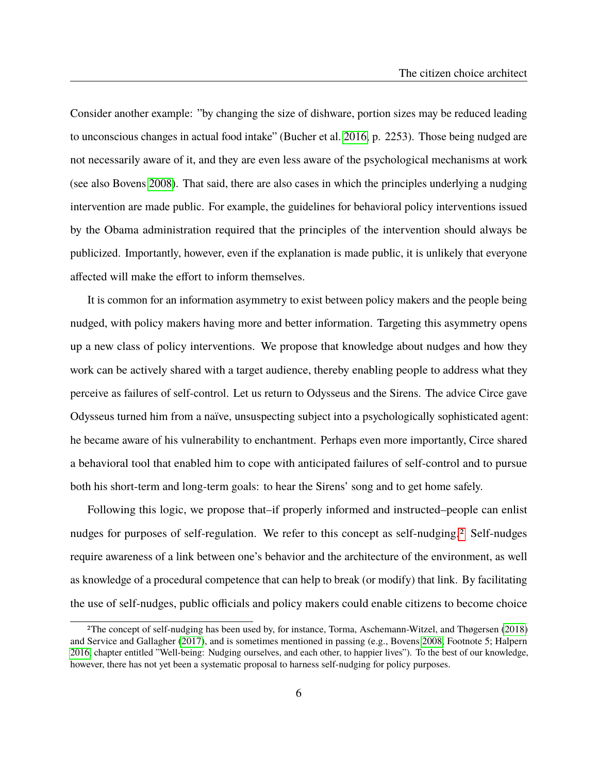Consider another example: "by changing the size of dishware, portion sizes may be reduced leading to unconscious changes in actual food intake" (Bucher et al. [2016,](#page-34-5) p. 2253). Those being nudged are not necessarily aware of it, and they are even less aware of the psychological mechanisms at work (see also Bovens [2008\)](#page-34-6). That said, there are also cases in which the principles underlying a nudging intervention are made public. For example, the guidelines for behavioral policy interventions issued by the Obama administration required that the principles of the intervention should always be publicized. Importantly, however, even if the explanation is made public, it is unlikely that everyone affected will make the effort to inform themselves.

It is common for an information asymmetry to exist between policy makers and the people being nudged, with policy makers having more and better information. Targeting this asymmetry opens up a new class of policy interventions. We propose that knowledge about nudges and how they work can be actively shared with a target audience, thereby enabling people to address what they perceive as failures of self-control. Let us return to Odysseus and the Sirens. The advice Circe gave Odysseus turned him from a naïve, unsuspecting subject into a psychologically sophisticated agent: he became aware of his vulnerability to enchantment. Perhaps even more importantly, Circe shared a behavioral tool that enabled him to cope with anticipated failures of self-control and to pursue both his short-term and long-term goals: to hear the Sirens' song and to get home safely.

Following this logic, we propose that–if properly informed and instructed–people can enlist nudges for purposes of self-regulation. We refer to this concept as self-nudging.<sup>[2](#page-5-0)</sup> Self-nudges require awareness of a link between one's behavior and the architecture of the environment, as well as knowledge of a procedural competence that can help to break (or modify) that link. By facilitating the use of self-nudges, public officials and policy makers could enable citizens to become choice

<span id="page-5-0"></span><sup>2</sup>The concept of self-nudging has been used by, for instance, Torma, Aschemann-Witzel, and Thøgersen [\(2018\)](#page-39-3) and Service and Gallagher [\(2017\)](#page-38-8), and is sometimes mentioned in passing (e.g., Bovens [2008,](#page-34-6) Footnote 5; Halpern [2016,](#page-36-3) chapter entitled "Well-being: Nudging ourselves, and each other, to happier lives"). To the best of our knowledge, however, there has not yet been a systematic proposal to harness self-nudging for policy purposes.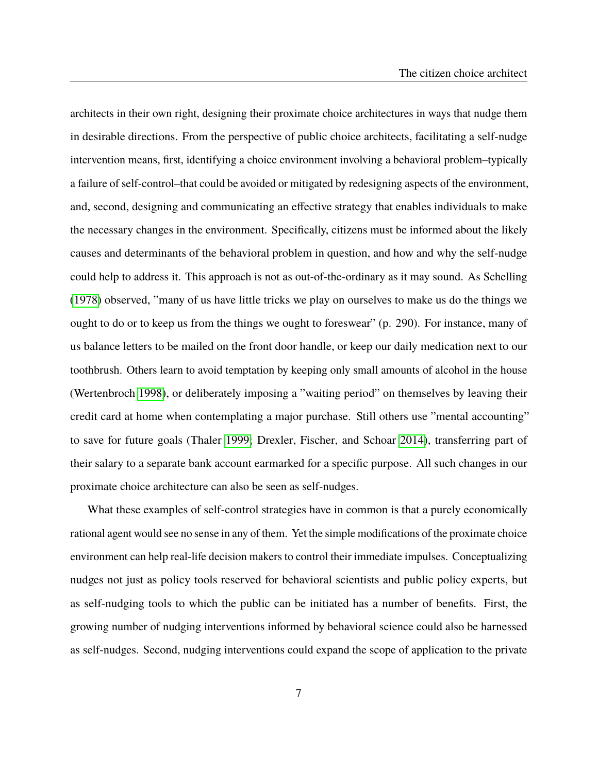architects in their own right, designing their proximate choice architectures in ways that nudge them in desirable directions. From the perspective of public choice architects, facilitating a self-nudge intervention means, first, identifying a choice environment involving a behavioral problem–typically a failure of self-control–that could be avoided or mitigated by redesigning aspects of the environment, and, second, designing and communicating an effective strategy that enables individuals to make the necessary changes in the environment. Specifically, citizens must be informed about the likely causes and determinants of the behavioral problem in question, and how and why the self-nudge could help to address it. This approach is not as out-of-the-ordinary as it may sound. As Schelling [\(1978\)](#page-38-9) observed, "many of us have little tricks we play on ourselves to make us do the things we ought to do or to keep us from the things we ought to foreswear" (p. 290). For instance, many of us balance letters to be mailed on the front door handle, or keep our daily medication next to our toothbrush. Others learn to avoid temptation by keeping only small amounts of alcohol in the house (Wertenbroch [1998\)](#page-39-4), or deliberately imposing a "waiting period" on themselves by leaving their credit card at home when contemplating a major purchase. Still others use "mental accounting" to save for future goals (Thaler [1999;](#page-38-10) Drexler, Fischer, and Schoar [2014\)](#page-35-4), transferring part of their salary to a separate bank account earmarked for a specific purpose. All such changes in our proximate choice architecture can also be seen as self-nudges.

What these examples of self-control strategies have in common is that a purely economically rational agent would see no sense in any of them. Yet the simple modifications of the proximate choice environment can help real-life decision makers to control their immediate impulses. Conceptualizing nudges not just as policy tools reserved for behavioral scientists and public policy experts, but as self-nudging tools to which the public can be initiated has a number of benefits. First, the growing number of nudging interventions informed by behavioral science could also be harnessed as self-nudges. Second, nudging interventions could expand the scope of application to the private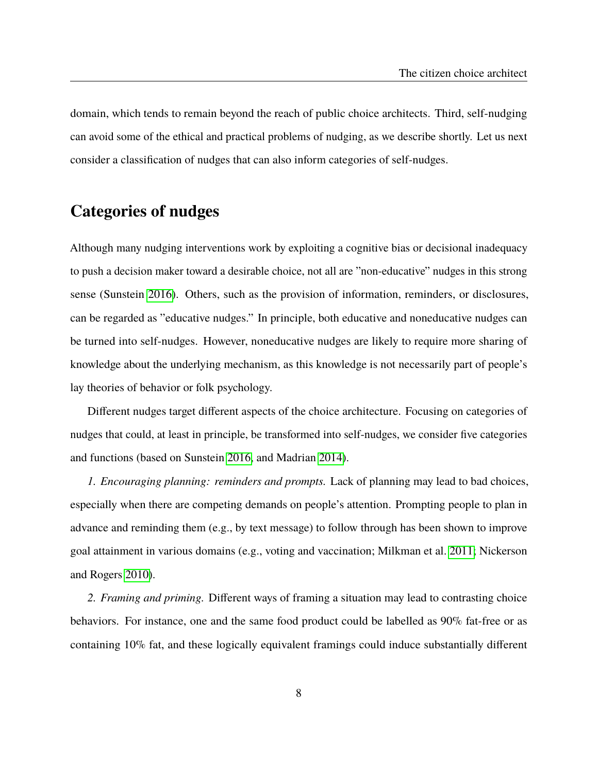domain, which tends to remain beyond the reach of public choice architects. Third, self-nudging can avoid some of the ethical and practical problems of nudging, as we describe shortly. Let us next consider a classification of nudges that can also inform categories of self-nudges.

### **Categories of nudges**

Although many nudging interventions work by exploiting a cognitive bias or decisional inadequacy to push a decision maker toward a desirable choice, not all are "non-educative" nudges in this strong sense (Sunstein [2016\)](#page-38-7). Others, such as the provision of information, reminders, or disclosures, can be regarded as "educative nudges." In principle, both educative and noneducative nudges can be turned into self-nudges. However, noneducative nudges are likely to require more sharing of knowledge about the underlying mechanism, as this knowledge is not necessarily part of people's lay theories of behavior or folk psychology.

Different nudges target different aspects of the choice architecture. Focusing on categories of nudges that could, at least in principle, be transformed into self-nudges, we consider five categories and functions (based on Sunstein [2016,](#page-38-7) and Madrian [2014\)](#page-37-6).

*1. Encouraging planning: reminders and prompts.* Lack of planning may lead to bad choices, especially when there are competing demands on people's attention. Prompting people to plan in advance and reminding them (e.g., by text message) to follow through has been shown to improve goal attainment in various domains (e.g., voting and vaccination; Milkman et al. [2011;](#page-37-7) Nickerson and Rogers [2010\)](#page-37-8).

*2. Framing and priming.* Different ways of framing a situation may lead to contrasting choice behaviors. For instance, one and the same food product could be labelled as 90% fat-free or as containing 10% fat, and these logically equivalent framings could induce substantially different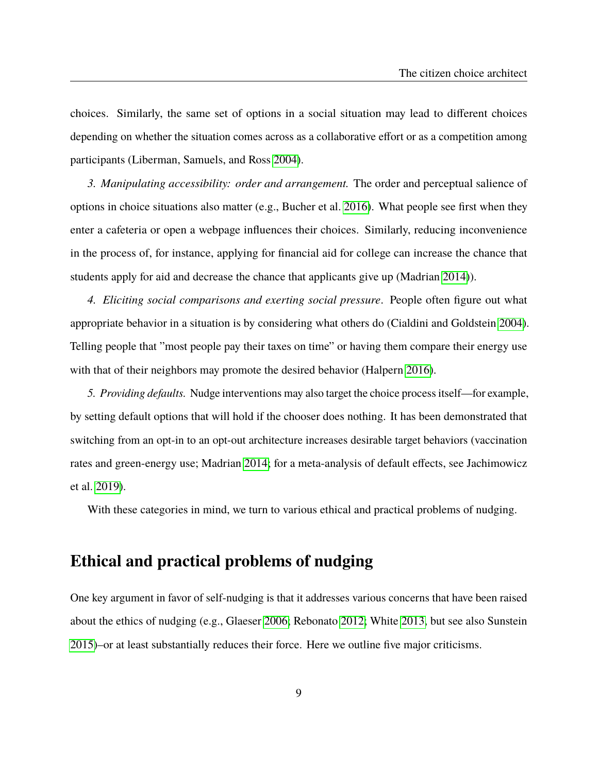choices. Similarly, the same set of options in a social situation may lead to different choices depending on whether the situation comes across as a collaborative effort or as a competition among participants (Liberman, Samuels, and Ross [2004\)](#page-37-9).

*3. Manipulating accessibility: order and arrangement.* The order and perceptual salience of options in choice situations also matter (e.g., Bucher et al. [2016\)](#page-34-5). What people see first when they enter a cafeteria or open a webpage influences their choices. Similarly, reducing inconvenience in the process of, for instance, applying for financial aid for college can increase the chance that students apply for aid and decrease the chance that applicants give up (Madrian [2014\)](#page-37-6)).

*4. Eliciting social comparisons and exerting social pressure*. People often figure out what appropriate behavior in a situation is by considering what others do (Cialdini and Goldstein [2004\)](#page-34-7). Telling people that "most people pay their taxes on time" or having them compare their energy use with that of their neighbors may promote the desired behavior (Halpern [2016\)](#page-36-3).

*5. Providing defaults.* Nudge interventions may also target the choice process itself—for example, by setting default options that will hold if the chooser does nothing. It has been demonstrated that switching from an opt-in to an opt-out architecture increases desirable target behaviors (vaccination rates and green-energy use; Madrian [2014;](#page-37-6) for a meta-analysis of default effects, see Jachimowicz et al. [2019\)](#page-36-4).

With these categories in mind, we turn to various ethical and practical problems of nudging.

### **Ethical and practical problems of nudging**

One key argument in favor of self-nudging is that it addresses various concerns that have been raised about the ethics of nudging (e.g., Glaeser [2006;](#page-35-5) Rebonato [2012;](#page-38-11) White [2013,](#page-39-5) but see also Sunstein [2015\)](#page-38-12)–or at least substantially reduces their force. Here we outline five major criticisms.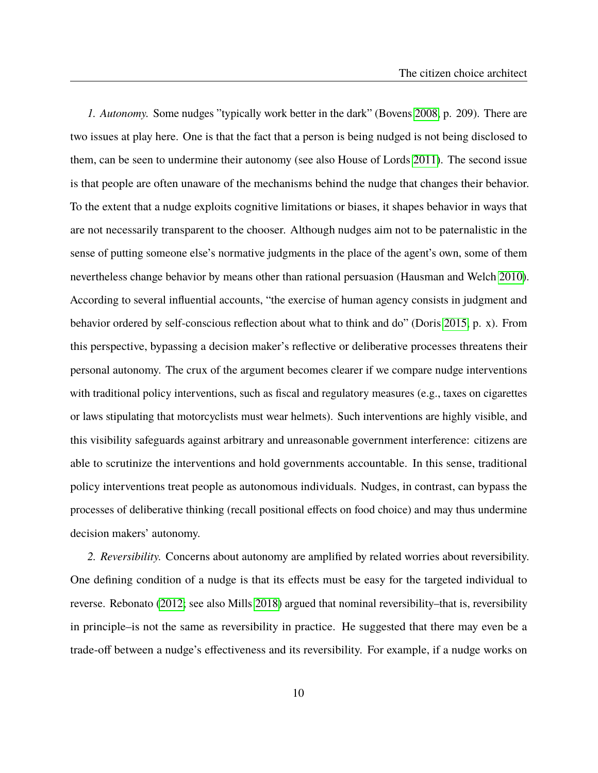*1. Autonomy.* Some nudges "typically work better in the dark" (Bovens [2008,](#page-34-6) p. 209). There are two issues at play here. One is that the fact that a person is being nudged is not being disclosed to them, can be seen to undermine their autonomy (see also House of Lords [2011\)](#page-36-5). The second issue is that people are often unaware of the mechanisms behind the nudge that changes their behavior. To the extent that a nudge exploits cognitive limitations or biases, it shapes behavior in ways that are not necessarily transparent to the chooser. Although nudges aim not to be paternalistic in the sense of putting someone else's normative judgments in the place of the agent's own, some of them nevertheless change behavior by means other than rational persuasion (Hausman and Welch [2010\)](#page-36-6). According to several influential accounts, "the exercise of human agency consists in judgment and behavior ordered by self-conscious reflection about what to think and do" (Doris [2015,](#page-35-6) p. x). From this perspective, bypassing a decision maker's reflective or deliberative processes threatens their personal autonomy. The crux of the argument becomes clearer if we compare nudge interventions with traditional policy interventions, such as fiscal and regulatory measures (e.g., taxes on cigarettes or laws stipulating that motorcyclists must wear helmets). Such interventions are highly visible, and this visibility safeguards against arbitrary and unreasonable government interference: citizens are able to scrutinize the interventions and hold governments accountable. In this sense, traditional policy interventions treat people as autonomous individuals. Nudges, in contrast, can bypass the processes of deliberative thinking (recall positional effects on food choice) and may thus undermine decision makers' autonomy.

*2. Reversibility.* Concerns about autonomy are amplified by related worries about reversibility. One defining condition of a nudge is that its effects must be easy for the targeted individual to reverse. Rebonato [\(2012;](#page-38-11) see also Mills [2018\)](#page-37-10) argued that nominal reversibility–that is, reversibility in principle–is not the same as reversibility in practice. He suggested that there may even be a trade-off between a nudge's effectiveness and its reversibility. For example, if a nudge works on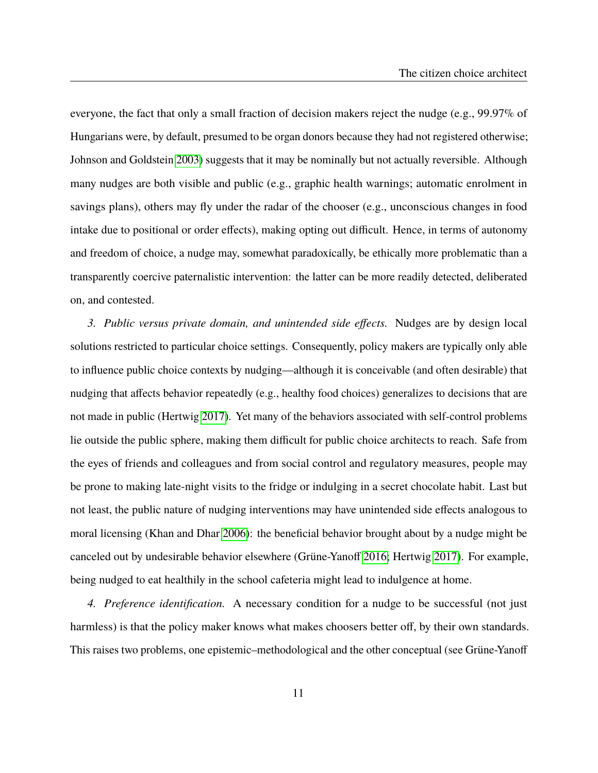everyone, the fact that only a small fraction of decision makers reject the nudge (e.g., 99.97% of Hungarians were, by default, presumed to be organ donors because they had not registered otherwise; Johnson and Goldstein [2003\)](#page-36-7) suggests that it may be nominally but not actually reversible. Although many nudges are both visible and public (e.g., graphic health warnings; automatic enrolment in savings plans), others may fly under the radar of the chooser (e.g., unconscious changes in food intake due to positional or order effects), making opting out difficult. Hence, in terms of autonomy and freedom of choice, a nudge may, somewhat paradoxically, be ethically more problematic than a transparently coercive paternalistic intervention: the latter can be more readily detected, deliberated on, and contested.

*3. Public versus private domain, and unintended side effects.* Nudges are by design local solutions restricted to particular choice settings. Consequently, policy makers are typically only able to influence public choice contexts by nudging—although it is conceivable (and often desirable) that nudging that affects behavior repeatedly (e.g., healthy food choices) generalizes to decisions that are not made in public (Hertwig [2017\)](#page-36-8). Yet many of the behaviors associated with self-control problems lie outside the public sphere, making them difficult for public choice architects to reach. Safe from the eyes of friends and colleagues and from social control and regulatory measures, people may be prone to making late-night visits to the fridge or indulging in a secret chocolate habit. Last but not least, the public nature of nudging interventions may have unintended side effects analogous to moral licensing (Khan and Dhar [2006\)](#page-36-9): the beneficial behavior brought about by a nudge might be canceled out by undesirable behavior elsewhere (Grüne-Yanoff [2016;](#page-35-7) Hertwig [2017\)](#page-36-8). For example, being nudged to eat healthily in the school cafeteria might lead to indulgence at home.

*4. Preference identification.* A necessary condition for a nudge to be successful (not just harmless) is that the policy maker knows what makes choosers better off, by their own standards. This raises two problems, one epistemic–methodological and the other conceptual (see Grüne-Yanoff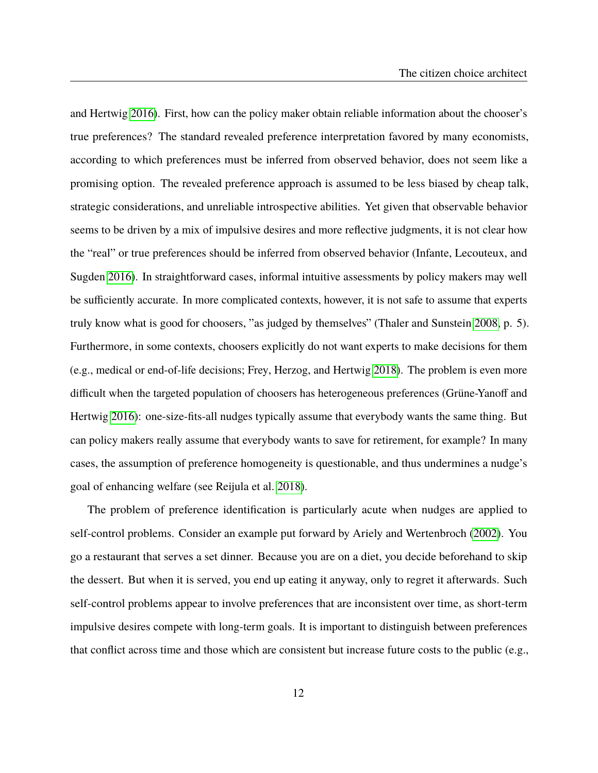and Hertwig [2016\)](#page-35-8). First, how can the policy maker obtain reliable information about the chooser's true preferences? The standard revealed preference interpretation favored by many economists, according to which preferences must be inferred from observed behavior, does not seem like a promising option. The revealed preference approach is assumed to be less biased by cheap talk, strategic considerations, and unreliable introspective abilities. Yet given that observable behavior seems to be driven by a mix of impulsive desires and more reflective judgments, it is not clear how the "real" or true preferences should be inferred from observed behavior (Infante, Lecouteux, and Sugden [2016\)](#page-36-10). In straightforward cases, informal intuitive assessments by policy makers may well be sufficiently accurate. In more complicated contexts, however, it is not safe to assume that experts truly know what is good for choosers, "as judged by themselves" (Thaler and Sunstein [2008,](#page-38-6) p. 5). Furthermore, in some contexts, choosers explicitly do not want experts to make decisions for them (e.g., medical or end-of-life decisions; Frey, Herzog, and Hertwig [2018\)](#page-35-9). The problem is even more difficult when the targeted population of choosers has heterogeneous preferences (Grüne-Yanoff and Hertwig [2016\)](#page-35-8): one-size-fits-all nudges typically assume that everybody wants the same thing. But can policy makers really assume that everybody wants to save for retirement, for example? In many cases, the assumption of preference homogeneity is questionable, and thus undermines a nudge's goal of enhancing welfare (see Reijula et al. [2018\)](#page-38-13).

The problem of preference identification is particularly acute when nudges are applied to self-control problems. Consider an example put forward by Ariely and Wertenbroch [\(2002\)](#page-34-8). You go a restaurant that serves a set dinner. Because you are on a diet, you decide beforehand to skip the dessert. But when it is served, you end up eating it anyway, only to regret it afterwards. Such self-control problems appear to involve preferences that are inconsistent over time, as short-term impulsive desires compete with long-term goals. It is important to distinguish between preferences that conflict across time and those which are consistent but increase future costs to the public (e.g.,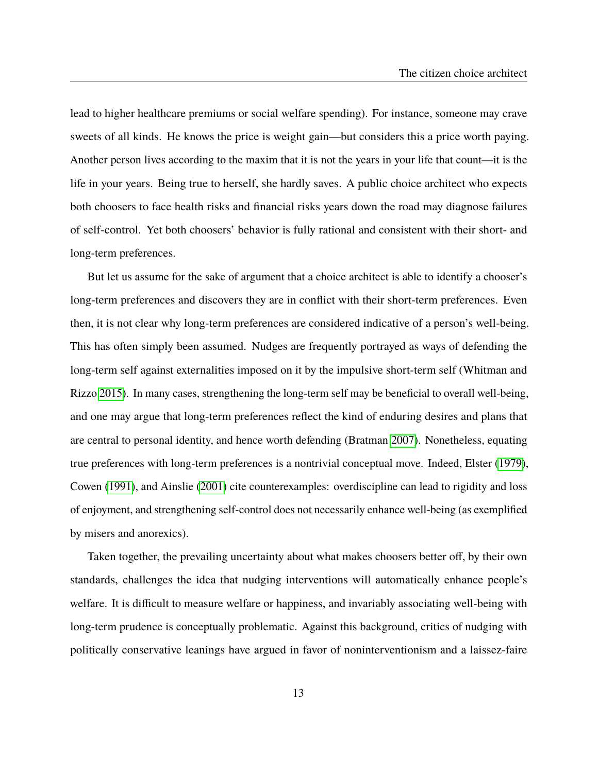lead to higher healthcare premiums or social welfare spending). For instance, someone may crave sweets of all kinds. He knows the price is weight gain—but considers this a price worth paying. Another person lives according to the maxim that it is not the years in your life that count—it is the life in your years. Being true to herself, she hardly saves. A public choice architect who expects both choosers to face health risks and financial risks years down the road may diagnose failures of self-control. Yet both choosers' behavior is fully rational and consistent with their short- and long-term preferences.

But let us assume for the sake of argument that a choice architect is able to identify a chooser's long-term preferences and discovers they are in conflict with their short-term preferences. Even then, it is not clear why long-term preferences are considered indicative of a person's well-being. This has often simply been assumed. Nudges are frequently portrayed as ways of defending the long-term self against externalities imposed on it by the impulsive short-term self (Whitman and Rizzo [2015\)](#page-39-6). In many cases, strengthening the long-term self may be beneficial to overall well-being, and one may argue that long-term preferences reflect the kind of enduring desires and plans that are central to personal identity, and hence worth defending (Bratman [2007\)](#page-34-9). Nonetheless, equating true preferences with long-term preferences is a nontrivial conceptual move. Indeed, Elster [\(1979\)](#page-35-10), Cowen [\(1991\)](#page-34-10), and Ainslie [\(2001\)](#page-34-1) cite counterexamples: overdiscipline can lead to rigidity and loss of enjoyment, and strengthening self-control does not necessarily enhance well-being (as exemplified by misers and anorexics).

Taken together, the prevailing uncertainty about what makes choosers better off, by their own standards, challenges the idea that nudging interventions will automatically enhance people's welfare. It is difficult to measure welfare or happiness, and invariably associating well-being with long-term prudence is conceptually problematic. Against this background, critics of nudging with politically conservative leanings have argued in favor of noninterventionism and a laissez-faire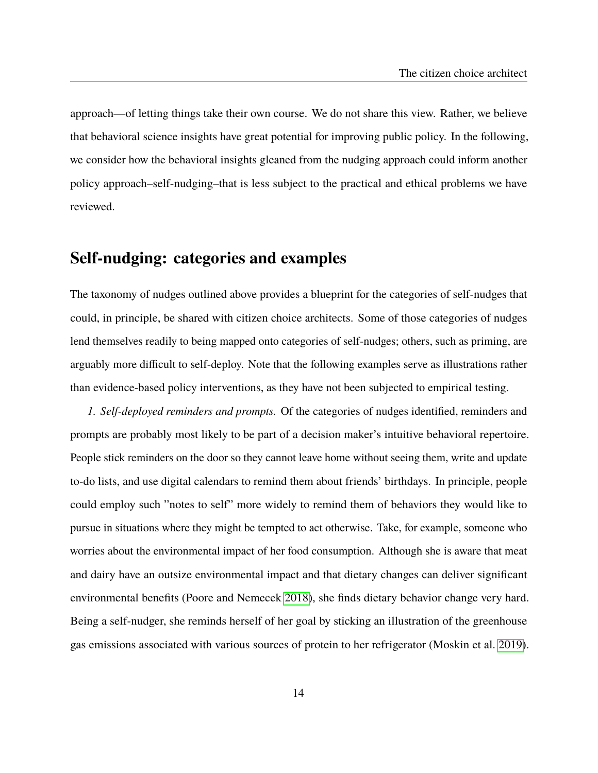approach—of letting things take their own course. We do not share this view. Rather, we believe that behavioral science insights have great potential for improving public policy. In the following, we consider how the behavioral insights gleaned from the nudging approach could inform another policy approach–self-nudging–that is less subject to the practical and ethical problems we have reviewed.

### **Self-nudging: categories and examples**

The taxonomy of nudges outlined above provides a blueprint for the categories of self-nudges that could, in principle, be shared with citizen choice architects. Some of those categories of nudges lend themselves readily to being mapped onto categories of self-nudges; others, such as priming, are arguably more difficult to self-deploy. Note that the following examples serve as illustrations rather than evidence-based policy interventions, as they have not been subjected to empirical testing.

*1. Self-deployed reminders and prompts.* Of the categories of nudges identified, reminders and prompts are probably most likely to be part of a decision maker's intuitive behavioral repertoire. People stick reminders on the door so they cannot leave home without seeing them, write and update to-do lists, and use digital calendars to remind them about friends' birthdays. In principle, people could employ such "notes to self" more widely to remind them of behaviors they would like to pursue in situations where they might be tempted to act otherwise. Take, for example, someone who worries about the environmental impact of her food consumption. Although she is aware that meat and dairy have an outsize environmental impact and that dietary changes can deliver significant environmental benefits (Poore and Nemecek [2018\)](#page-38-14), she finds dietary behavior change very hard. Being a self-nudger, she reminds herself of her goal by sticking an illustration of the greenhouse gas emissions associated with various sources of protein to her refrigerator (Moskin et al. [2019\)](#page-37-11).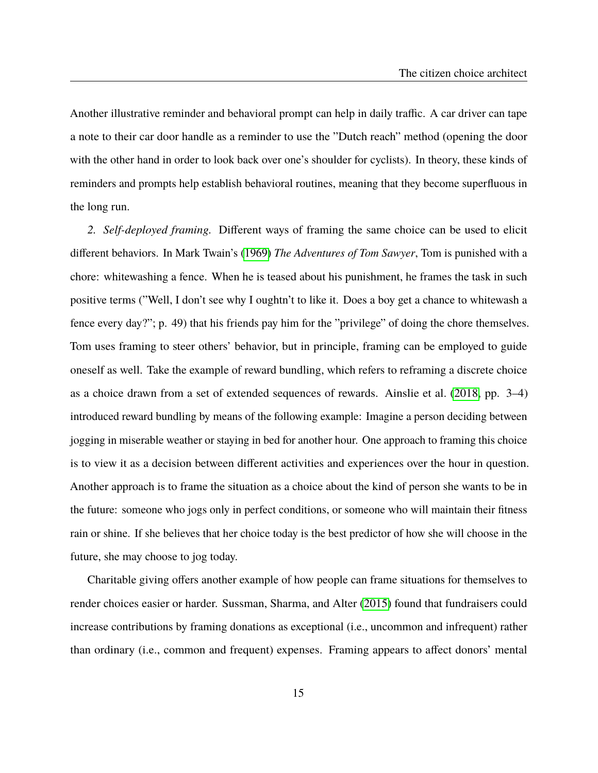Another illustrative reminder and behavioral prompt can help in daily traffic. A car driver can tape a note to their car door handle as a reminder to use the "Dutch reach" method (opening the door with the other hand in order to look back over one's shoulder for cyclists). In theory, these kinds of reminders and prompts help establish behavioral routines, meaning that they become superfluous in the long run.

*2. Self-deployed framing.* Different ways of framing the same choice can be used to elicit different behaviors. In Mark Twain's [\(1969\)](#page-39-7) *The Adventures of Tom Sawyer*, Tom is punished with a chore: whitewashing a fence. When he is teased about his punishment, he frames the task in such positive terms ("Well, I don't see why I oughtn't to like it. Does a boy get a chance to whitewash a fence every day?"; p. 49) that his friends pay him for the "privilege" of doing the chore themselves. Tom uses framing to steer others' behavior, but in principle, framing can be employed to guide oneself as well. Take the example of reward bundling, which refers to reframing a discrete choice as a choice drawn from a set of extended sequences of rewards. Ainslie et al. [\(2018,](#page-34-11) pp. 3–4) introduced reward bundling by means of the following example: Imagine a person deciding between jogging in miserable weather or staying in bed for another hour. One approach to framing this choice is to view it as a decision between different activities and experiences over the hour in question. Another approach is to frame the situation as a choice about the kind of person she wants to be in the future: someone who jogs only in perfect conditions, or someone who will maintain their fitness rain or shine. If she believes that her choice today is the best predictor of how she will choose in the future, she may choose to jog today.

Charitable giving offers another example of how people can frame situations for themselves to render choices easier or harder. Sussman, Sharma, and Alter [\(2015\)](#page-38-15) found that fundraisers could increase contributions by framing donations as exceptional (i.e., uncommon and infrequent) rather than ordinary (i.e., common and frequent) expenses. Framing appears to affect donors' mental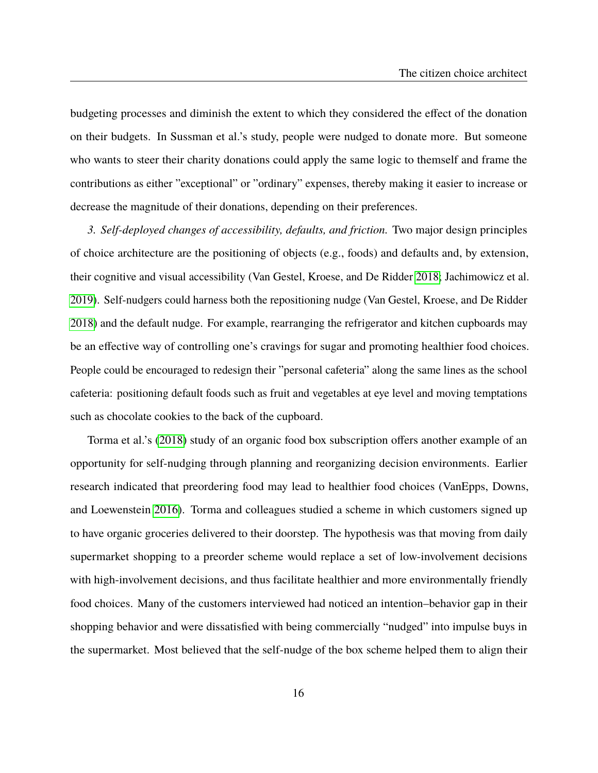budgeting processes and diminish the extent to which they considered the effect of the donation on their budgets. In Sussman et al.'s study, people were nudged to donate more. But someone who wants to steer their charity donations could apply the same logic to themself and frame the contributions as either "exceptional" or "ordinary" expenses, thereby making it easier to increase or decrease the magnitude of their donations, depending on their preferences.

*3. Self-deployed changes of accessibility, defaults, and friction.* Two major design principles of choice architecture are the positioning of objects (e.g., foods) and defaults and, by extension, their cognitive and visual accessibility (Van Gestel, Kroese, and De Ridder [2018;](#page-39-8) Jachimowicz et al. [2019\)](#page-36-4). Self-nudgers could harness both the repositioning nudge (Van Gestel, Kroese, and De Ridder [2018\)](#page-39-8) and the default nudge. For example, rearranging the refrigerator and kitchen cupboards may be an effective way of controlling one's cravings for sugar and promoting healthier food choices. People could be encouraged to redesign their "personal cafeteria" along the same lines as the school cafeteria: positioning default foods such as fruit and vegetables at eye level and moving temptations such as chocolate cookies to the back of the cupboard.

Torma et al.'s [\(2018\)](#page-39-3) study of an organic food box subscription offers another example of an opportunity for self-nudging through planning and reorganizing decision environments. Earlier research indicated that preordering food may lead to healthier food choices (VanEpps, Downs, and Loewenstein [2016\)](#page-39-9). Torma and colleagues studied a scheme in which customers signed up to have organic groceries delivered to their doorstep. The hypothesis was that moving from daily supermarket shopping to a preorder scheme would replace a set of low-involvement decisions with high-involvement decisions, and thus facilitate healthier and more environmentally friendly food choices. Many of the customers interviewed had noticed an intention–behavior gap in their shopping behavior and were dissatisfied with being commercially "nudged" into impulse buys in the supermarket. Most believed that the self-nudge of the box scheme helped them to align their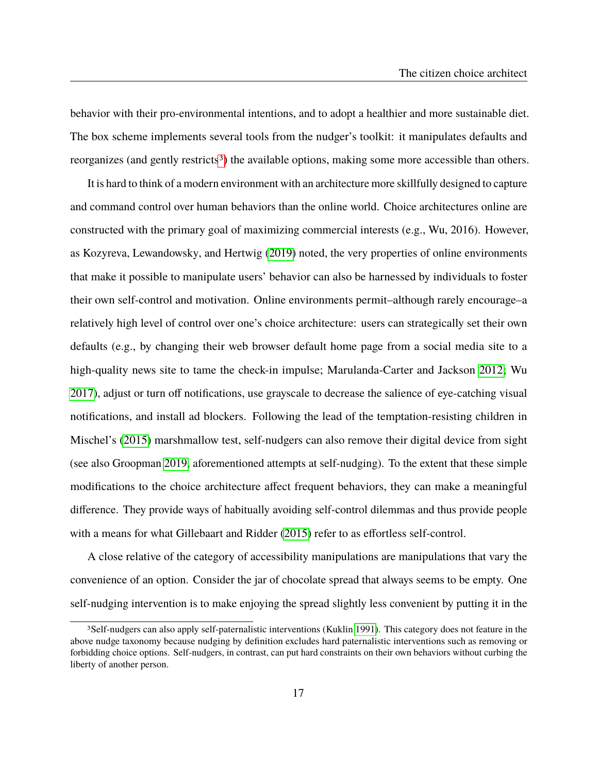behavior with their pro-environmental intentions, and to adopt a healthier and more sustainable diet. The box scheme implements several tools from the nudger's toolkit: it manipulates defaults and reorganizes (and gently restricts<sup>[3](#page-16-0)</sup>) the available options, making some more accessible than others.

It is hard to think of a modern environment with an architecture more skillfully designed to capture and command control over human behaviors than the online world. Choice architectures online are constructed with the primary goal of maximizing commercial interests (e.g., Wu, 2016). However, as Kozyreva, Lewandowsky, and Hertwig [\(2019\)](#page-36-11) noted, the very properties of online environments that make it possible to manipulate users' behavior can also be harnessed by individuals to foster their own self-control and motivation. Online environments permit–although rarely encourage–a relatively high level of control over one's choice architecture: users can strategically set their own defaults (e.g., by changing their web browser default home page from a social media site to a high-quality news site to tame the check-in impulse; Marulanda-Carter and Jackson [2012;](#page-37-12) Wu [2017\)](#page-39-0), adjust or turn off notifications, use grayscale to decrease the salience of eye-catching visual notifications, and install ad blockers. Following the lead of the temptation-resisting children in Mischel's [\(2015\)](#page-37-13) marshmallow test, self-nudgers can also remove their digital device from sight (see also Groopman [2019,](#page-35-3) aforementioned attempts at self-nudging). To the extent that these simple modifications to the choice architecture affect frequent behaviors, they can make a meaningful difference. They provide ways of habitually avoiding self-control dilemmas and thus provide people with a means for what Gillebaart and Ridder [\(2015\)](#page-35-11) refer to as effortless self-control.

A close relative of the category of accessibility manipulations are manipulations that vary the convenience of an option. Consider the jar of chocolate spread that always seems to be empty. One self-nudging intervention is to make enjoying the spread slightly less convenient by putting it in the

<span id="page-16-0"></span><sup>3</sup>Self-nudgers can also apply self-paternalistic interventions (Kuklin [1991\)](#page-36-12). This category does not feature in the above nudge taxonomy because nudging by definition excludes hard paternalistic interventions such as removing or forbidding choice options. Self-nudgers, in contrast, can put hard constraints on their own behaviors without curbing the liberty of another person.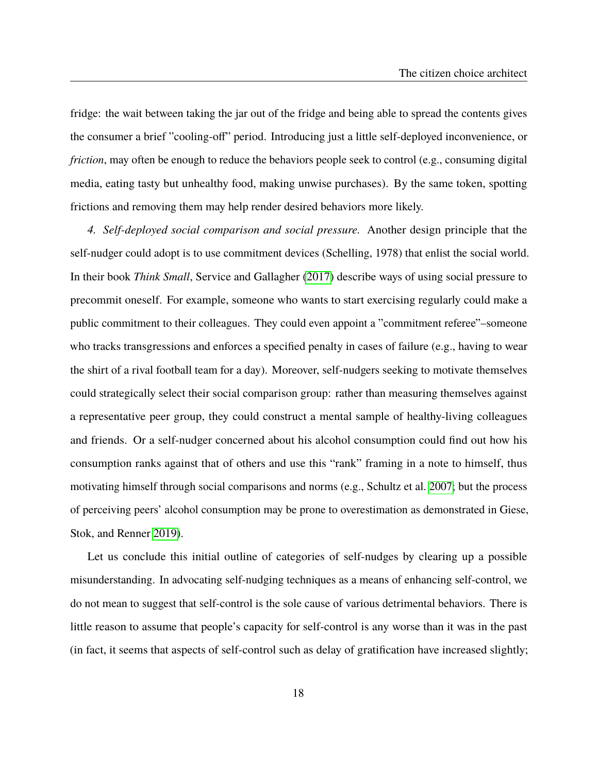fridge: the wait between taking the jar out of the fridge and being able to spread the contents gives the consumer a brief "cooling-off" period. Introducing just a little self-deployed inconvenience, or *friction*, may often be enough to reduce the behaviors people seek to control (e.g., consuming digital media, eating tasty but unhealthy food, making unwise purchases). By the same token, spotting frictions and removing them may help render desired behaviors more likely.

*4. Self-deployed social comparison and social pressure.* Another design principle that the self-nudger could adopt is to use commitment devices (Schelling, 1978) that enlist the social world. In their book *Think Small*, Service and Gallagher [\(2017\)](#page-38-8) describe ways of using social pressure to precommit oneself. For example, someone who wants to start exercising regularly could make a public commitment to their colleagues. They could even appoint a "commitment referee"–someone who tracks transgressions and enforces a specified penalty in cases of failure (e.g., having to wear the shirt of a rival football team for a day). Moreover, self-nudgers seeking to motivate themselves could strategically select their social comparison group: rather than measuring themselves against a representative peer group, they could construct a mental sample of healthy-living colleagues and friends. Or a self-nudger concerned about his alcohol consumption could find out how his consumption ranks against that of others and use this "rank" framing in a note to himself, thus motivating himself through social comparisons and norms (e.g., Schultz et al. [2007;](#page-38-16) but the process of perceiving peers' alcohol consumption may be prone to overestimation as demonstrated in Giese, Stok, and Renner [2019\)](#page-35-12).

Let us conclude this initial outline of categories of self-nudges by clearing up a possible misunderstanding. In advocating self-nudging techniques as a means of enhancing self-control, we do not mean to suggest that self-control is the sole cause of various detrimental behaviors. There is little reason to assume that people's capacity for self-control is any worse than it was in the past (in fact, it seems that aspects of self-control such as delay of gratification have increased slightly;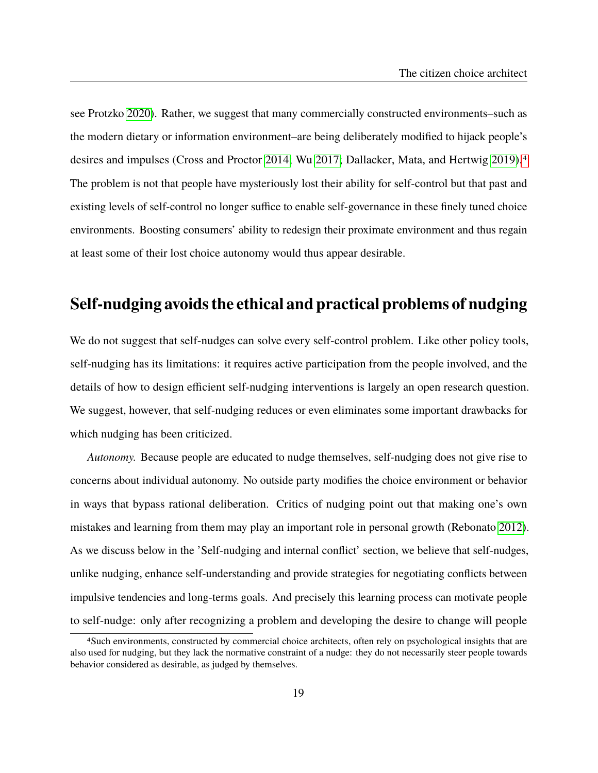see Protzko [2020\)](#page-38-17). Rather, we suggest that many commercially constructed environments–such as the modern dietary or information environment–are being deliberately modified to hijack people's desires and impulses (Cross and Proctor [2014;](#page-34-3) Wu [2017;](#page-39-0) Dallacker, Mata, and Hertwig [2019\)](#page-34-12).[4](#page-18-0) The problem is not that people have mysteriously lost their ability for self-control but that past and existing levels of self-control no longer suffice to enable self-governance in these finely tuned choice environments. Boosting consumers' ability to redesign their proximate environment and thus regain at least some of their lost choice autonomy would thus appear desirable.

### **Self-nudging avoids the ethical and practical problems of nudging**

We do not suggest that self-nudges can solve every self-control problem. Like other policy tools, self-nudging has its limitations: it requires active participation from the people involved, and the details of how to design efficient self-nudging interventions is largely an open research question. We suggest, however, that self-nudging reduces or even eliminates some important drawbacks for which nudging has been criticized.

*Autonomy.* Because people are educated to nudge themselves, self-nudging does not give rise to concerns about individual autonomy. No outside party modifies the choice environment or behavior in ways that bypass rational deliberation. Critics of nudging point out that making one's own mistakes and learning from them may play an important role in personal growth (Rebonato [2012\)](#page-38-11). As we discuss below in the 'Self-nudging and internal conflict' section, we believe that self-nudges, unlike nudging, enhance self-understanding and provide strategies for negotiating conflicts between impulsive tendencies and long-terms goals. And precisely this learning process can motivate people to self-nudge: only after recognizing a problem and developing the desire to change will people

<span id="page-18-0"></span><sup>4</sup>Such environments, constructed by commercial choice architects, often rely on psychological insights that are also used for nudging, but they lack the normative constraint of a nudge: they do not necessarily steer people towards behavior considered as desirable, as judged by themselves.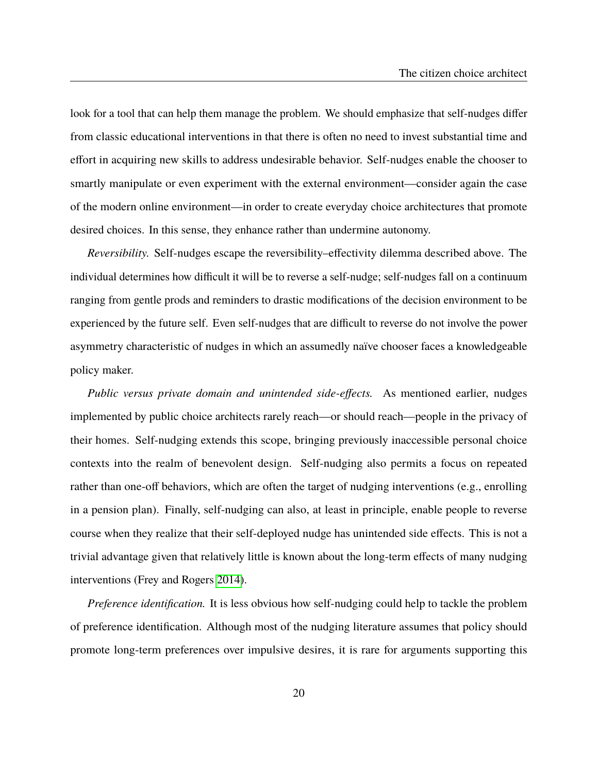look for a tool that can help them manage the problem. We should emphasize that self-nudges differ from classic educational interventions in that there is often no need to invest substantial time and effort in acquiring new skills to address undesirable behavior. Self-nudges enable the chooser to smartly manipulate or even experiment with the external environment—consider again the case of the modern online environment—in order to create everyday choice architectures that promote desired choices. In this sense, they enhance rather than undermine autonomy.

*Reversibility.* Self-nudges escape the reversibility–effectivity dilemma described above. The individual determines how difficult it will be to reverse a self-nudge; self-nudges fall on a continuum ranging from gentle prods and reminders to drastic modifications of the decision environment to be experienced by the future self. Even self-nudges that are difficult to reverse do not involve the power asymmetry characteristic of nudges in which an assumedly naïve chooser faces a knowledgeable policy maker.

*Public versus private domain and unintended side-effects.* As mentioned earlier, nudges implemented by public choice architects rarely reach—or should reach—people in the privacy of their homes. Self-nudging extends this scope, bringing previously inaccessible personal choice contexts into the realm of benevolent design. Self-nudging also permits a focus on repeated rather than one-off behaviors, which are often the target of nudging interventions (e.g., enrolling in a pension plan). Finally, self-nudging can also, at least in principle, enable people to reverse course when they realize that their self-deployed nudge has unintended side effects. This is not a trivial advantage given that relatively little is known about the long-term effects of many nudging interventions (Frey and Rogers [2014\)](#page-35-13).

*Preference identification.* It is less obvious how self-nudging could help to tackle the problem of preference identification. Although most of the nudging literature assumes that policy should promote long-term preferences over impulsive desires, it is rare for arguments supporting this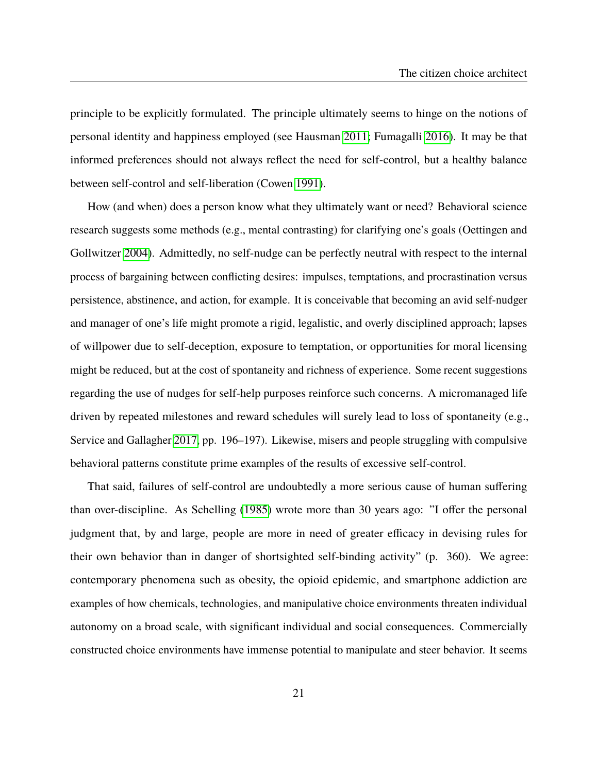principle to be explicitly formulated. The principle ultimately seems to hinge on the notions of personal identity and happiness employed (see Hausman [2011;](#page-36-13) Fumagalli [2016\)](#page-35-14). It may be that informed preferences should not always reflect the need for self-control, but a healthy balance between self-control and self-liberation (Cowen [1991\)](#page-34-10).

How (and when) does a person know what they ultimately want or need? Behavioral science research suggests some methods (e.g., mental contrasting) for clarifying one's goals (Oettingen and Gollwitzer [2004\)](#page-38-18). Admittedly, no self-nudge can be perfectly neutral with respect to the internal process of bargaining between conflicting desires: impulses, temptations, and procrastination versus persistence, abstinence, and action, for example. It is conceivable that becoming an avid self-nudger and manager of one's life might promote a rigid, legalistic, and overly disciplined approach; lapses of willpower due to self-deception, exposure to temptation, or opportunities for moral licensing might be reduced, but at the cost of spontaneity and richness of experience. Some recent suggestions regarding the use of nudges for self-help purposes reinforce such concerns. A micromanaged life driven by repeated milestones and reward schedules will surely lead to loss of spontaneity (e.g., Service and Gallagher [2017,](#page-38-8) pp. 196–197). Likewise, misers and people struggling with compulsive behavioral patterns constitute prime examples of the results of excessive self-control.

That said, failures of self-control are undoubtedly a more serious cause of human suffering than over-discipline. As Schelling [\(1985\)](#page-38-19) wrote more than 30 years ago: "I offer the personal judgment that, by and large, people are more in need of greater efficacy in devising rules for their own behavior than in danger of shortsighted self-binding activity" (p. 360). We agree: contemporary phenomena such as obesity, the opioid epidemic, and smartphone addiction are examples of how chemicals, technologies, and manipulative choice environments threaten individual autonomy on a broad scale, with significant individual and social consequences. Commercially constructed choice environments have immense potential to manipulate and steer behavior. It seems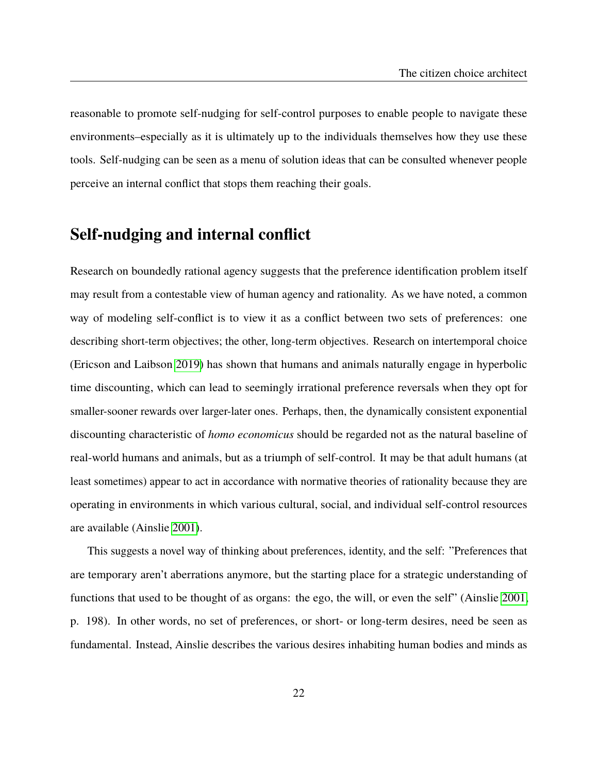reasonable to promote self-nudging for self-control purposes to enable people to navigate these environments–especially as it is ultimately up to the individuals themselves how they use these tools. Self-nudging can be seen as a menu of solution ideas that can be consulted whenever people perceive an internal conflict that stops them reaching their goals.

### **Self-nudging and internal conflict**

Research on boundedly rational agency suggests that the preference identification problem itself may result from a contestable view of human agency and rationality. As we have noted, a common way of modeling self-conflict is to view it as a conflict between two sets of preferences: one describing short-term objectives; the other, long-term objectives. Research on intertemporal choice (Ericson and Laibson [2019\)](#page-35-15) has shown that humans and animals naturally engage in hyperbolic time discounting, which can lead to seemingly irrational preference reversals when they opt for smaller-sooner rewards over larger-later ones. Perhaps, then, the dynamically consistent exponential discounting characteristic of *homo economicus* should be regarded not as the natural baseline of real-world humans and animals, but as a triumph of self-control. It may be that adult humans (at least sometimes) appear to act in accordance with normative theories of rationality because they are operating in environments in which various cultural, social, and individual self-control resources are available (Ainslie [2001\)](#page-34-1).

This suggests a novel way of thinking about preferences, identity, and the self: "Preferences that are temporary aren't aberrations anymore, but the starting place for a strategic understanding of functions that used to be thought of as organs: the ego, the will, or even the self" (Ainslie [2001,](#page-34-1) p. 198). In other words, no set of preferences, or short- or long-term desires, need be seen as fundamental. Instead, Ainslie describes the various desires inhabiting human bodies and minds as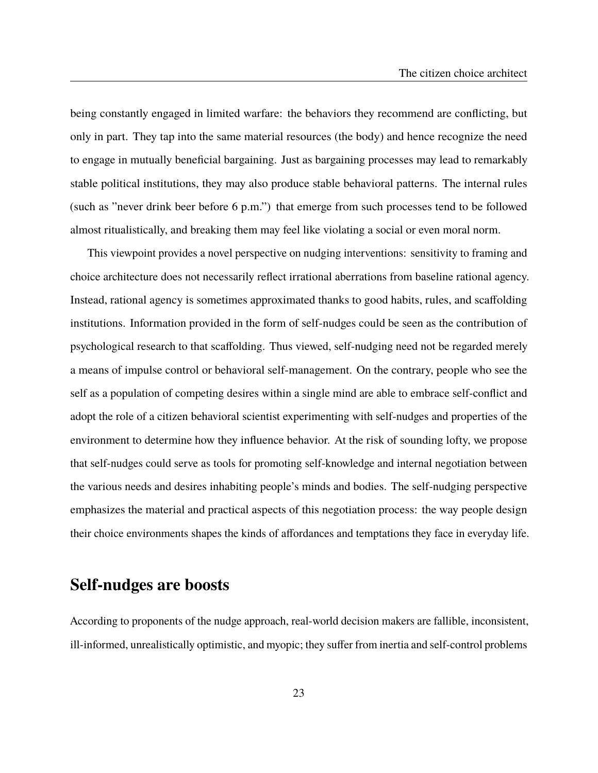being constantly engaged in limited warfare: the behaviors they recommend are conflicting, but only in part. They tap into the same material resources (the body) and hence recognize the need to engage in mutually beneficial bargaining. Just as bargaining processes may lead to remarkably stable political institutions, they may also produce stable behavioral patterns. The internal rules (such as "never drink beer before 6 p.m.") that emerge from such processes tend to be followed almost ritualistically, and breaking them may feel like violating a social or even moral norm.

This viewpoint provides a novel perspective on nudging interventions: sensitivity to framing and choice architecture does not necessarily reflect irrational aberrations from baseline rational agency. Instead, rational agency is sometimes approximated thanks to good habits, rules, and scaffolding institutions. Information provided in the form of self-nudges could be seen as the contribution of psychological research to that scaffolding. Thus viewed, self-nudging need not be regarded merely a means of impulse control or behavioral self-management. On the contrary, people who see the self as a population of competing desires within a single mind are able to embrace self-conflict and adopt the role of a citizen behavioral scientist experimenting with self-nudges and properties of the environment to determine how they influence behavior. At the risk of sounding lofty, we propose that self-nudges could serve as tools for promoting self-knowledge and internal negotiation between the various needs and desires inhabiting people's minds and bodies. The self-nudging perspective emphasizes the material and practical aspects of this negotiation process: the way people design their choice environments shapes the kinds of affordances and temptations they face in everyday life.

#### **Self-nudges are boosts**

According to proponents of the nudge approach, real-world decision makers are fallible, inconsistent, ill-informed, unrealistically optimistic, and myopic; they suffer from inertia and self-control problems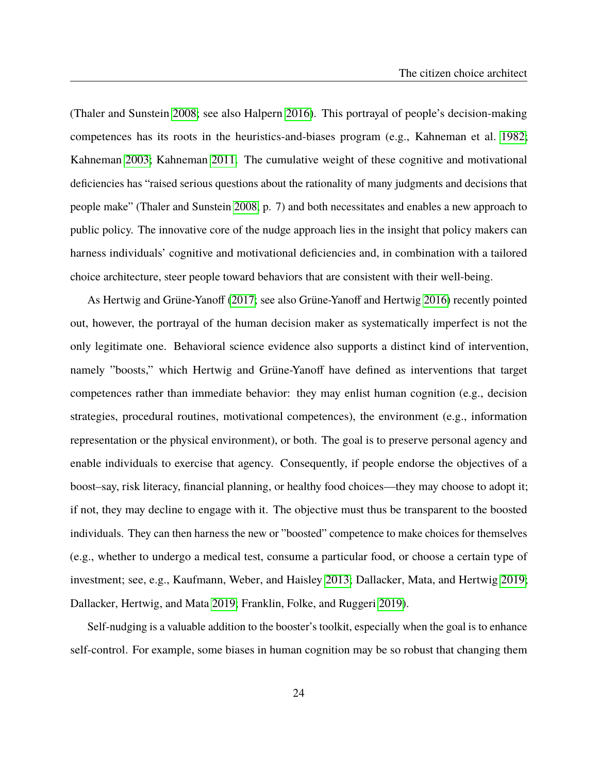(Thaler and Sunstein [2008;](#page-38-6) see also Halpern [2016\)](#page-36-3). This portrayal of people's decision-making competences has its roots in the heuristics-and-biases program (e.g., Kahneman et al. [1982;](#page-36-14) Kahneman [2003;](#page-36-15) Kahneman [2011.](#page-36-16) The cumulative weight of these cognitive and motivational deficiencies has "raised serious questions about the rationality of many judgments and decisions that people make" (Thaler and Sunstein [2008,](#page-38-6) p. 7) and both necessitates and enables a new approach to public policy. The innovative core of the nudge approach lies in the insight that policy makers can harness individuals' cognitive and motivational deficiencies and, in combination with a tailored choice architecture, steer people toward behaviors that are consistent with their well-being.

As Hertwig and Grüne-Yanoff [\(2017;](#page-36-1) see also Grüne-Yanoff and Hertwig [2016\)](#page-35-8) recently pointed out, however, the portrayal of the human decision maker as systematically imperfect is not the only legitimate one. Behavioral science evidence also supports a distinct kind of intervention, namely "boosts," which Hertwig and Grüne-Yanoff have defined as interventions that target competences rather than immediate behavior: they may enlist human cognition (e.g., decision strategies, procedural routines, motivational competences), the environment (e.g., information representation or the physical environment), or both. The goal is to preserve personal agency and enable individuals to exercise that agency. Consequently, if people endorse the objectives of a boost–say, risk literacy, financial planning, or healthy food choices—they may choose to adopt it; if not, they may decline to engage with it. The objective must thus be transparent to the boosted individuals. They can then harness the new or "boosted" competence to make choices for themselves (e.g., whether to undergo a medical test, consume a particular food, or choose a certain type of investment; see, e.g., Kaufmann, Weber, and Haisley [2013;](#page-36-17) Dallacker, Mata, and Hertwig [2019;](#page-34-12) Dallacker, Hertwig, and Mata [2019;](#page-34-13) Franklin, Folke, and Ruggeri [2019\)](#page-35-16).

Self-nudging is a valuable addition to the booster's toolkit, especially when the goal is to enhance self-control. For example, some biases in human cognition may be so robust that changing them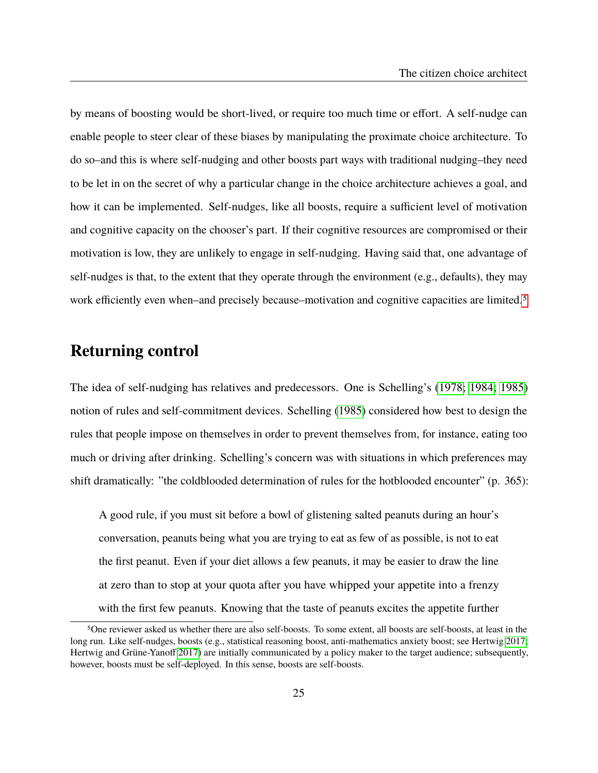by means of boosting would be short-lived, or require too much time or effort. A self-nudge can enable people to steer clear of these biases by manipulating the proximate choice architecture. To do so–and this is where self-nudging and other boosts part ways with traditional nudging–they need to be let in on the secret of why a particular change in the choice architecture achieves a goal, and how it can be implemented. Self-nudges, like all boosts, require a sufficient level of motivation and cognitive capacity on the chooser's part. If their cognitive resources are compromised or their motivation is low, they are unlikely to engage in self-nudging. Having said that, one advantage of self-nudges is that, to the extent that they operate through the environment (e.g., defaults), they may work efficiently even when–and precisely because–motivation and cognitive capacities are limited.<sup>[5](#page-24-0)</sup>

#### **Returning control**

The idea of self-nudging has relatives and predecessors. One is Schelling's [\(1978;](#page-38-9) [1984;](#page-38-0) [1985\)](#page-38-19) notion of rules and self-commitment devices. Schelling [\(1985\)](#page-38-19) considered how best to design the rules that people impose on themselves in order to prevent themselves from, for instance, eating too much or driving after drinking. Schelling's concern was with situations in which preferences may shift dramatically: "the coldblooded determination of rules for the hotblooded encounter" (p. 365):

A good rule, if you must sit before a bowl of glistening salted peanuts during an hour's conversation, peanuts being what you are trying to eat as few of as possible, is not to eat the first peanut. Even if your diet allows a few peanuts, it may be easier to draw the line at zero than to stop at your quota after you have whipped your appetite into a frenzy with the first few peanuts. Knowing that the taste of peanuts excites the appetite further

<span id="page-24-0"></span><sup>5</sup>One reviewer asked us whether there are also self-boosts. To some extent, all boosts are self-boosts, at least in the long run. Like self-nudges, boosts (e.g., statistical reasoning boost, anti-mathematics anxiety boost; see Hertwig [2017;](#page-36-8) Hertwig and Grüne-Yanoff [2017\)](#page-36-1) are initially communicated by a policy maker to the target audience; subsequently, however, boosts must be self-deployed. In this sense, boosts are self-boosts.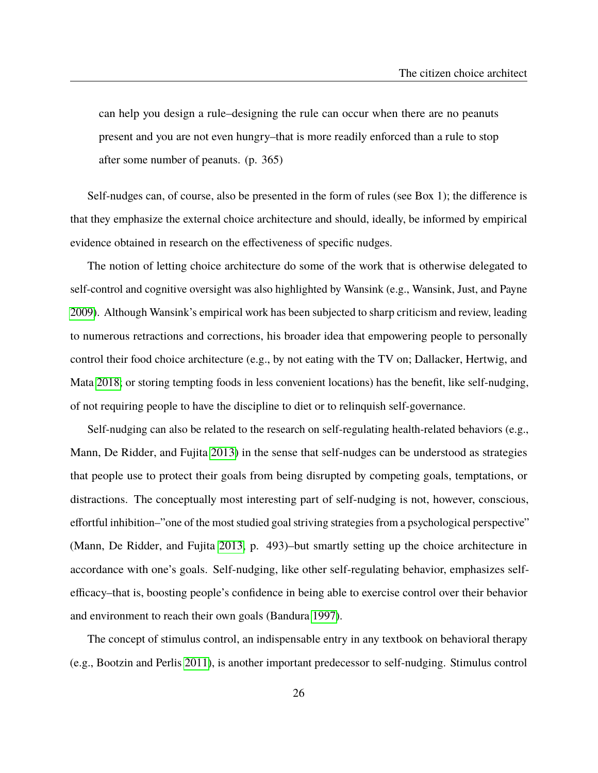can help you design a rule–designing the rule can occur when there are no peanuts present and you are not even hungry–that is more readily enforced than a rule to stop after some number of peanuts. (p. 365)

Self-nudges can, of course, also be presented in the form of rules (see Box 1); the difference is that they emphasize the external choice architecture and should, ideally, be informed by empirical evidence obtained in research on the effectiveness of specific nudges.

The notion of letting choice architecture do some of the work that is otherwise delegated to self-control and cognitive oversight was also highlighted by Wansink (e.g., Wansink, Just, and Payne [2009\)](#page-39-10). Although Wansink's empirical work has been subjected to sharp criticism and review, leading to numerous retractions and corrections, his broader idea that empowering people to personally control their food choice architecture (e.g., by not eating with the TV on; Dallacker, Hertwig, and Mata [2018;](#page-34-14) or storing tempting foods in less convenient locations) has the benefit, like self-nudging, of not requiring people to have the discipline to diet or to relinquish self-governance.

Self-nudging can also be related to the research on self-regulating health-related behaviors (e.g., Mann, De Ridder, and Fujita [2013\)](#page-37-14) in the sense that self-nudges can be understood as strategies that people use to protect their goals from being disrupted by competing goals, temptations, or distractions. The conceptually most interesting part of self-nudging is not, however, conscious, effortful inhibition–"one of the most studied goal striving strategies from a psychological perspective" (Mann, De Ridder, and Fujita [2013,](#page-37-14) p. 493)–but smartly setting up the choice architecture in accordance with one's goals. Self-nudging, like other self-regulating behavior, emphasizes selfefficacy–that is, boosting people's confidence in being able to exercise control over their behavior and environment to reach their own goals (Bandura [1997\)](#page-34-15).

The concept of stimulus control, an indispensable entry in any textbook on behavioral therapy (e.g., Bootzin and Perlis [2011\)](#page-34-16), is another important predecessor to self-nudging. Stimulus control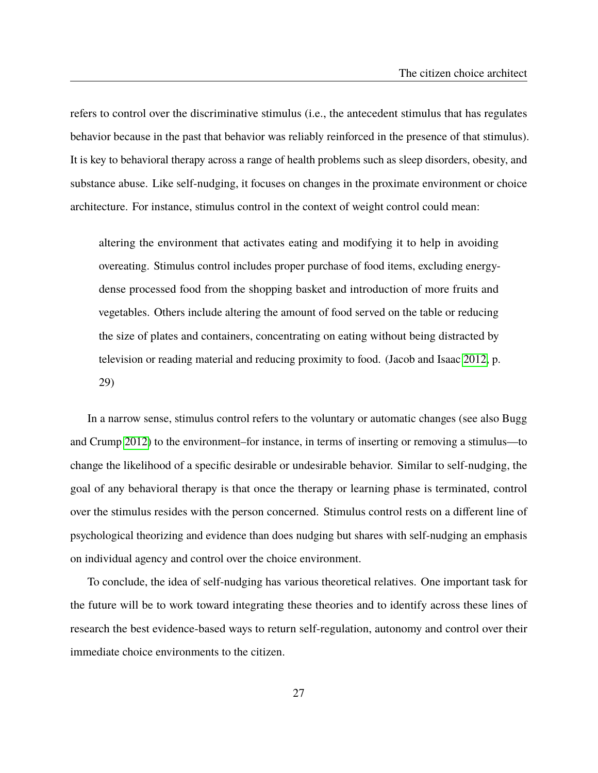refers to control over the discriminative stimulus (i.e., the antecedent stimulus that has regulates behavior because in the past that behavior was reliably reinforced in the presence of that stimulus). It is key to behavioral therapy across a range of health problems such as sleep disorders, obesity, and substance abuse. Like self-nudging, it focuses on changes in the proximate environment or choice architecture. For instance, stimulus control in the context of weight control could mean:

altering the environment that activates eating and modifying it to help in avoiding overeating. Stimulus control includes proper purchase of food items, excluding energydense processed food from the shopping basket and introduction of more fruits and vegetables. Others include altering the amount of food served on the table or reducing the size of plates and containers, concentrating on eating without being distracted by television or reading material and reducing proximity to food. (Jacob and Isaac [2012,](#page-36-18) p. 29)

In a narrow sense, stimulus control refers to the voluntary or automatic changes (see also Bugg and Crump [2012\)](#page-34-17) to the environment–for instance, in terms of inserting or removing a stimulus—to change the likelihood of a specific desirable or undesirable behavior. Similar to self-nudging, the goal of any behavioral therapy is that once the therapy or learning phase is terminated, control over the stimulus resides with the person concerned. Stimulus control rests on a different line of psychological theorizing and evidence than does nudging but shares with self-nudging an emphasis on individual agency and control over the choice environment.

To conclude, the idea of self-nudging has various theoretical relatives. One important task for the future will be to work toward integrating these theories and to identify across these lines of research the best evidence-based ways to return self-regulation, autonomy and control over their immediate choice environments to the citizen.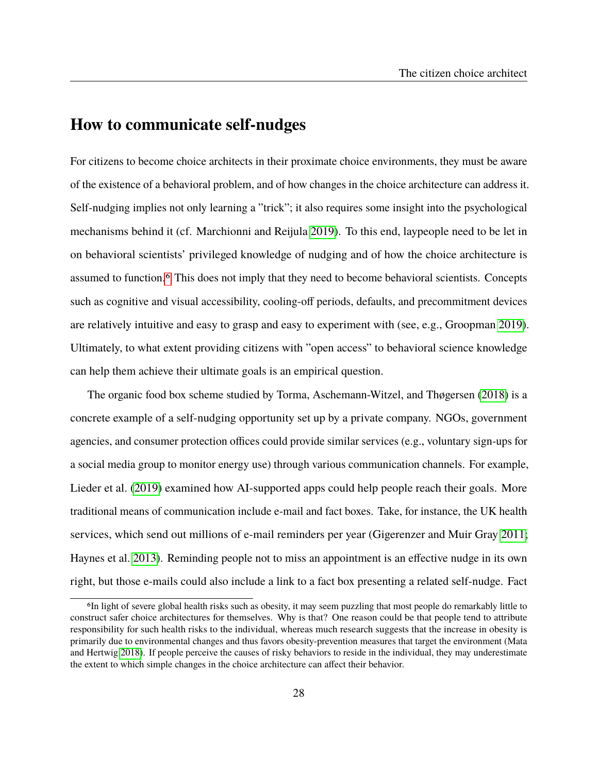### **How to communicate self-nudges**

For citizens to become choice architects in their proximate choice environments, they must be aware of the existence of a behavioral problem, and of how changes in the choice architecture can address it. Self-nudging implies not only learning a "trick"; it also requires some insight into the psychological mechanisms behind it (cf. Marchionni and Reijula [2019\)](#page-37-15). To this end, laypeople need to be let in on behavioral scientists' privileged knowledge of nudging and of how the choice architecture is assumed to function.[6](#page-27-0) This does not imply that they need to become behavioral scientists. Concepts such as cognitive and visual accessibility, cooling-off periods, defaults, and precommitment devices are relatively intuitive and easy to grasp and easy to experiment with (see, e.g., Groopman [2019\)](#page-35-3). Ultimately, to what extent providing citizens with "open access" to behavioral science knowledge can help them achieve their ultimate goals is an empirical question.

The organic food box scheme studied by Torma, Aschemann-Witzel, and Thøgersen [\(2018\)](#page-39-3) is a concrete example of a self-nudging opportunity set up by a private company. NGOs, government agencies, and consumer protection offices could provide similar services (e.g., voluntary sign-ups for a social media group to monitor energy use) through various communication channels. For example, Lieder et al. [\(2019\)](#page-37-16) examined how AI-supported apps could help people reach their goals. More traditional means of communication include e-mail and fact boxes. Take, for instance, the UK health services, which send out millions of e-mail reminders per year (Gigerenzer and Muir Gray [2011;](#page-35-17) Haynes et al. [2013\)](#page-36-19). Reminding people not to miss an appointment is an effective nudge in its own right, but those e-mails could also include a link to a fact box presenting a related self-nudge. Fact

<span id="page-27-0"></span><sup>6</sup>In light of severe global health risks such as obesity, it may seem puzzling that most people do remarkably little to construct safer choice architectures for themselves. Why is that? One reason could be that people tend to attribute responsibility for such health risks to the individual, whereas much research suggests that the increase in obesity is primarily due to environmental changes and thus favors obesity-prevention measures that target the environment (Mata and Hertwig [2018\)](#page-37-17). If people perceive the causes of risky behaviors to reside in the individual, they may underestimate the extent to which simple changes in the choice architecture can affect their behavior.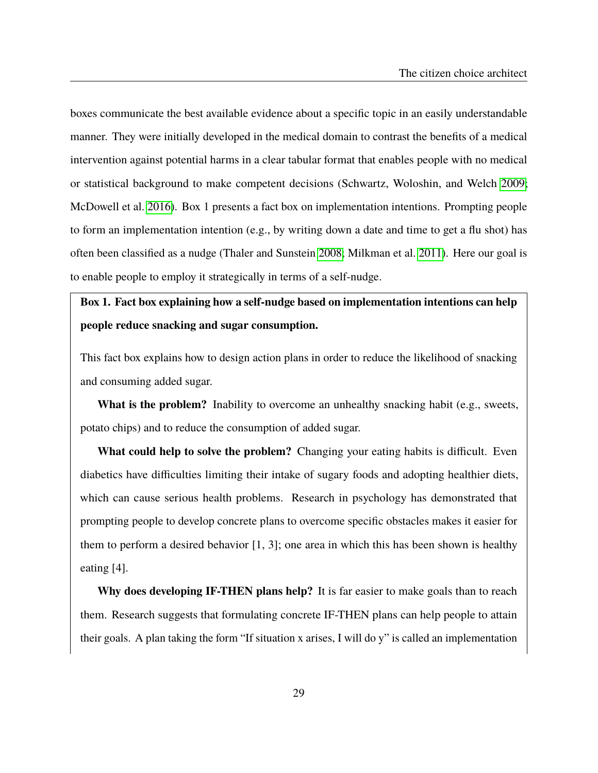boxes communicate the best available evidence about a specific topic in an easily understandable manner. They were initially developed in the medical domain to contrast the benefits of a medical intervention against potential harms in a clear tabular format that enables people with no medical or statistical background to make competent decisions (Schwartz, Woloshin, and Welch [2009;](#page-38-20) McDowell et al. [2016\)](#page-37-18). Box 1 presents a fact box on implementation intentions. Prompting people to form an implementation intention (e.g., by writing down a date and time to get a flu shot) has often been classified as a nudge (Thaler and Sunstein [2008;](#page-38-6) Milkman et al. [2011\)](#page-37-7). Here our goal is to enable people to employ it strategically in terms of a self-nudge.

# **Box 1. Fact box explaining how a self-nudge based on implementation intentions can help people reduce snacking and sugar consumption.**

This fact box explains how to design action plans in order to reduce the likelihood of snacking and consuming added sugar.

**What is the problem?** Inability to overcome an unhealthy snacking habit (e.g., sweets, potato chips) and to reduce the consumption of added sugar.

**What could help to solve the problem?** Changing your eating habits is difficult. Even diabetics have difficulties limiting their intake of sugary foods and adopting healthier diets, which can cause serious health problems. Research in psychology has demonstrated that prompting people to develop concrete plans to overcome specific obstacles makes it easier for them to perform a desired behavior [1, 3]; one area in which this has been shown is healthy eating [4].

**Why does developing IF-THEN plans help?** It is far easier to make goals than to reach them. Research suggests that formulating concrete IF-THEN plans can help people to attain their goals. A plan taking the form "If situation x arises, I will do y" is called an implementation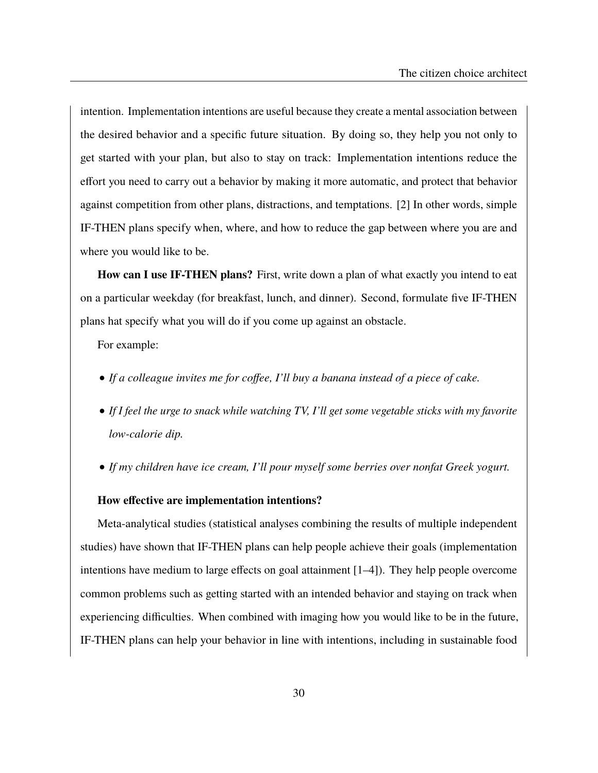intention. Implementation intentions are useful because they create a mental association between the desired behavior and a specific future situation. By doing so, they help you not only to get started with your plan, but also to stay on track: Implementation intentions reduce the effort you need to carry out a behavior by making it more automatic, and protect that behavior against competition from other plans, distractions, and temptations. [2] In other words, simple IF-THEN plans specify when, where, and how to reduce the gap between where you are and where you would like to be.

**How can I use IF-THEN plans?** First, write down a plan of what exactly you intend to eat on a particular weekday (for breakfast, lunch, and dinner). Second, formulate five IF-THEN plans hat specify what you will do if you come up against an obstacle.

For example:

- *• If a colleague invites me for coffee, I'll buy a banana instead of a piece of cake.*
- *• If I feel the urge to snack while watching TV, I'll get some vegetable sticks with my favorite low-calorie dip.*
- *• If my children have ice cream, I'll pour myself some berries over nonfat Greek yogurt.*

#### **How effective are implementation intentions?**

Meta-analytical studies (statistical analyses combining the results of multiple independent studies) have shown that IF-THEN plans can help people achieve their goals (implementation intentions have medium to large effects on goal attainment [1–4]). They help people overcome common problems such as getting started with an intended behavior and staying on track when experiencing difficulties. When combined with imaging how you would like to be in the future, IF-THEN plans can help your behavior in line with intentions, including in sustainable food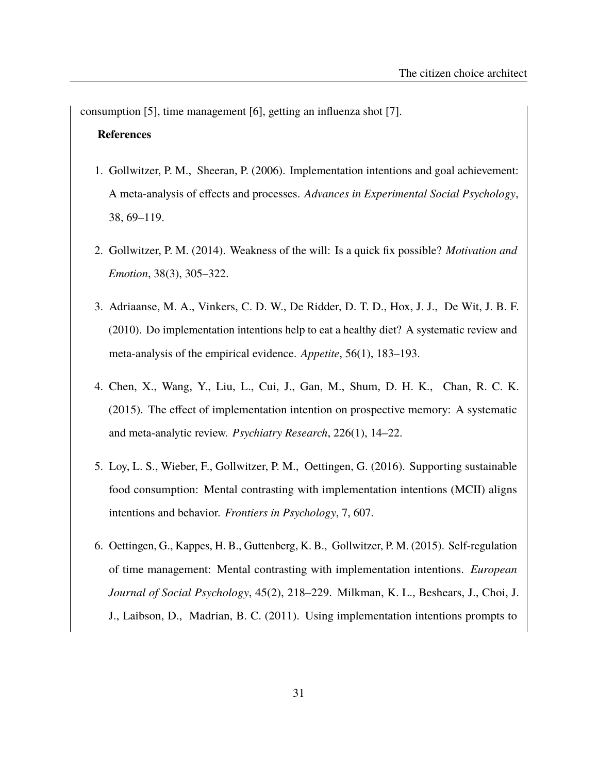consumption [5], time management [6], getting an influenza shot [7].

#### **References**

- 1. Gollwitzer, P. M., Sheeran, P. (2006). Implementation intentions and goal achievement: A meta-analysis of effects and processes. *Advances in Experimental Social Psychology*, 38, 69–119.
- 2. Gollwitzer, P. M. (2014). Weakness of the will: Is a quick fix possible? *Motivation and Emotion*, 38(3), 305–322.
- 3. Adriaanse, M. A., Vinkers, C. D. W., De Ridder, D. T. D., Hox, J. J., De Wit, J. B. F. (2010). Do implementation intentions help to eat a healthy diet? A systematic review and meta-analysis of the empirical evidence. *Appetite*, 56(1), 183–193.
- 4. Chen, X., Wang, Y., Liu, L., Cui, J., Gan, M., Shum, D. H. K., Chan, R. C. K. (2015). The effect of implementation intention on prospective memory: A systematic and meta-analytic review. *Psychiatry Research*, 226(1), 14–22.
- 5. Loy, L. S., Wieber, F., Gollwitzer, P. M., Oettingen, G. (2016). Supporting sustainable food consumption: Mental contrasting with implementation intentions (MCII) aligns intentions and behavior. *Frontiers in Psychology*, 7, 607.
- 6. Oettingen, G., Kappes, H. B., Guttenberg, K. B., Gollwitzer, P. M. (2015). Self-regulation of time management: Mental contrasting with implementation intentions. *European Journal of Social Psychology*, 45(2), 218–229. Milkman, K. L., Beshears, J., Choi, J. J., Laibson, D., Madrian, B. C. (2011). Using implementation intentions prompts to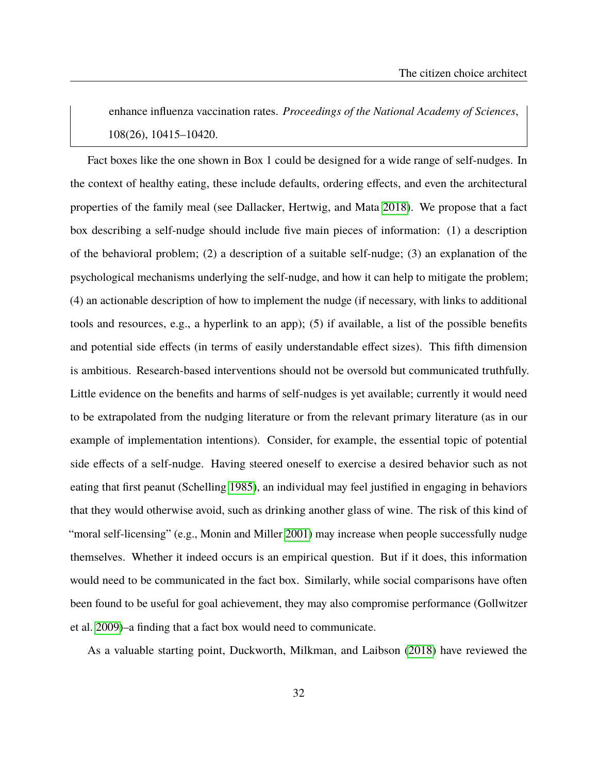enhance influenza vaccination rates. *Proceedings of the National Academy of Sciences*, 108(26), 10415–10420.

Fact boxes like the one shown in Box 1 could be designed for a wide range of self-nudges. In the context of healthy eating, these include defaults, ordering effects, and even the architectural properties of the family meal (see Dallacker, Hertwig, and Mata [2018\)](#page-34-14). We propose that a fact box describing a self-nudge should include five main pieces of information: (1) a description of the behavioral problem; (2) a description of a suitable self-nudge; (3) an explanation of the psychological mechanisms underlying the self-nudge, and how it can help to mitigate the problem; (4) an actionable description of how to implement the nudge (if necessary, with links to additional tools and resources, e.g., a hyperlink to an app); (5) if available, a list of the possible benefits and potential side effects (in terms of easily understandable effect sizes). This fifth dimension is ambitious. Research-based interventions should not be oversold but communicated truthfully. Little evidence on the benefits and harms of self-nudges is yet available; currently it would need to be extrapolated from the nudging literature or from the relevant primary literature (as in our example of implementation intentions). Consider, for example, the essential topic of potential side effects of a self-nudge. Having steered oneself to exercise a desired behavior such as not eating that first peanut (Schelling [1985\)](#page-38-19), an individual may feel justified in engaging in behaviors that they would otherwise avoid, such as drinking another glass of wine. The risk of this kind of "moral self-licensing" (e.g., Monin and Miller [2001\)](#page-37-19) may increase when people successfully nudge themselves. Whether it indeed occurs is an empirical question. But if it does, this information would need to be communicated in the fact box. Similarly, while social comparisons have often been found to be useful for goal achievement, they may also compromise performance (Gollwitzer et al. [2009\)](#page-35-18)–a finding that a fact box would need to communicate.

As a valuable starting point, Duckworth, Milkman, and Laibson [\(2018\)](#page-35-1) have reviewed the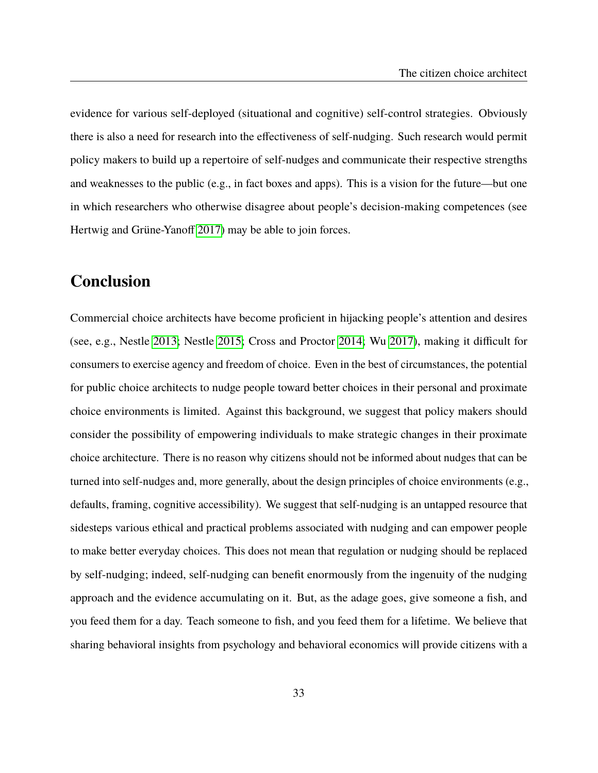evidence for various self-deployed (situational and cognitive) self-control strategies. Obviously there is also a need for research into the effectiveness of self-nudging. Such research would permit policy makers to build up a repertoire of self-nudges and communicate their respective strengths and weaknesses to the public (e.g., in fact boxes and apps). This is a vision for the future—but one in which researchers who otherwise disagree about people's decision-making competences (see Hertwig and Grüne-Yanoff [2017\)](#page-36-1) may be able to join forces.

# **Conclusion**

Commercial choice architects have become proficient in hijacking people's attention and desires (see, e.g., Nestle [2013;](#page-37-0) Nestle [2015;](#page-37-1) Cross and Proctor [2014;](#page-34-3) Wu [2017\)](#page-39-0), making it difficult for consumers to exercise agency and freedom of choice. Even in the best of circumstances, the potential for public choice architects to nudge people toward better choices in their personal and proximate choice environments is limited. Against this background, we suggest that policy makers should consider the possibility of empowering individuals to make strategic changes in their proximate choice architecture. There is no reason why citizens should not be informed about nudges that can be turned into self-nudges and, more generally, about the design principles of choice environments (e.g., defaults, framing, cognitive accessibility). We suggest that self-nudging is an untapped resource that sidesteps various ethical and practical problems associated with nudging and can empower people to make better everyday choices. This does not mean that regulation or nudging should be replaced by self-nudging; indeed, self-nudging can benefit enormously from the ingenuity of the nudging approach and the evidence accumulating on it. But, as the adage goes, give someone a fish, and you feed them for a day. Teach someone to fish, and you feed them for a lifetime. We believe that sharing behavioral insights from psychology and behavioral economics will provide citizens with a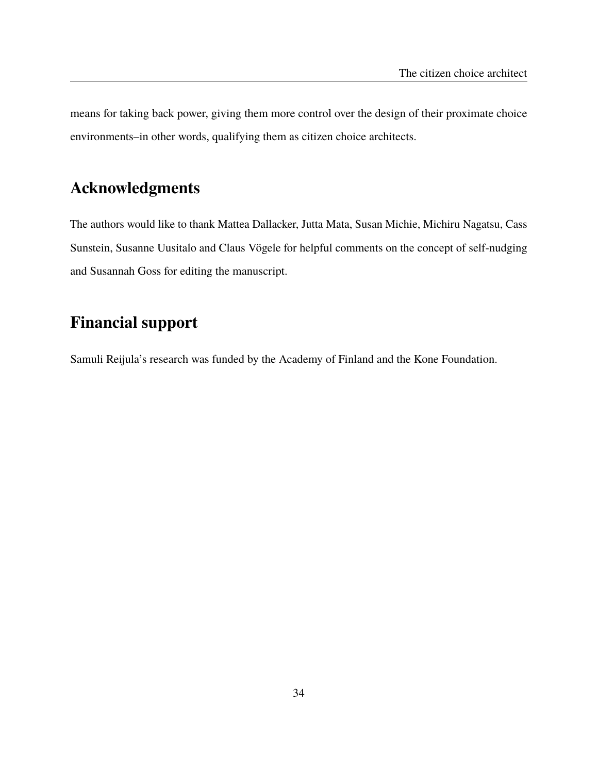means for taking back power, giving them more control over the design of their proximate choice environments–in other words, qualifying them as citizen choice architects.

#### **Acknowledgments**

The authors would like to thank Mattea Dallacker, Jutta Mata, Susan Michie, Michiru Nagatsu, Cass Sunstein, Susanne Uusitalo and Claus Vögele for helpful comments on the concept of self-nudging and Susannah Goss for editing the manuscript.

# **Financial support**

Samuli Reijula's research was funded by the Academy of Finland and the Kone Foundation.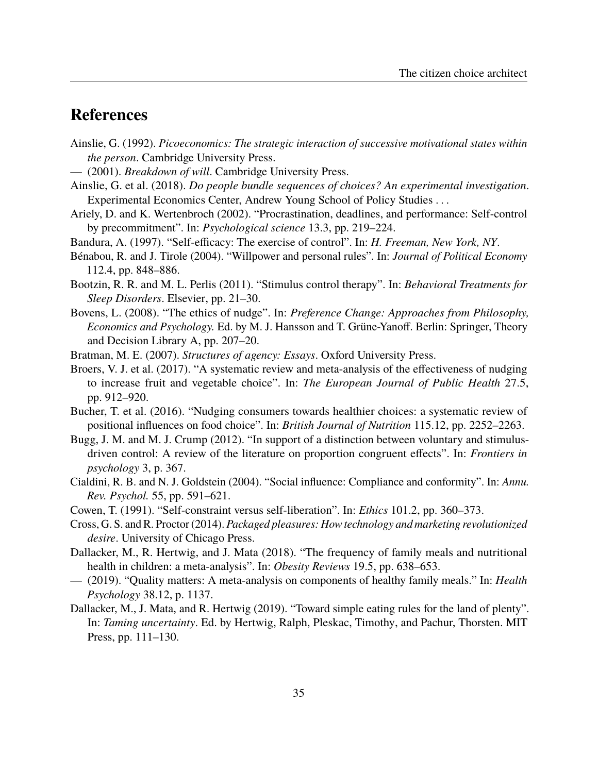# **References**

- <span id="page-34-0"></span>Ainslie, G. (1992). *Picoeconomics: The strategic interaction of successive motivational states within the person*. Cambridge University Press.
- <span id="page-34-1"></span>— (2001). *Breakdown of will*. Cambridge University Press.
- <span id="page-34-11"></span>Ainslie, G. et al. (2018). *Do people bundle sequences of choices? An experimental investigation*. Experimental Economics Center, Andrew Young School of Policy Studies . . .
- <span id="page-34-8"></span>Ariely, D. and K. Wertenbroch (2002). "Procrastination, deadlines, and performance: Self-control by precommitment". In: *Psychological science* 13.3, pp. 219–224.
- <span id="page-34-15"></span>Bandura, A. (1997). "Self-efficacy: The exercise of control". In: *H. Freeman, New York, NY*.
- <span id="page-34-2"></span>Bénabou, R. and J. Tirole (2004). "Willpower and personal rules". In: *Journal of Political Economy* 112.4, pp. 848–886.
- <span id="page-34-16"></span>Bootzin, R. R. and M. L. Perlis (2011). "Stimulus control therapy". In: *Behavioral Treatments for Sleep Disorders*. Elsevier, pp. 21–30.
- <span id="page-34-6"></span>Bovens, L. (2008). "The ethics of nudge". In: *Preference Change: Approaches from Philosophy, Economics and Psychology.* Ed. by M. J. Hansson and T. Grüne-Yanoff. Berlin: Springer, Theory and Decision Library A, pp. 207–20.
- <span id="page-34-9"></span>Bratman, M. E. (2007). *Structures of agency: Essays*. Oxford University Press.
- <span id="page-34-4"></span>Broers, V. J. et al. (2017). "A systematic review and meta-analysis of the effectiveness of nudging to increase fruit and vegetable choice". In: *The European Journal of Public Health* 27.5, pp. 912–920.
- <span id="page-34-5"></span>Bucher, T. et al. (2016). "Nudging consumers towards healthier choices: a systematic review of positional influences on food choice". In: *British Journal of Nutrition* 115.12, pp. 2252–2263.
- <span id="page-34-17"></span>Bugg, J. M. and M. J. Crump (2012). "In support of a distinction between voluntary and stimulusdriven control: A review of the literature on proportion congruent effects". In: *Frontiers in psychology* 3, p. 367.
- <span id="page-34-7"></span>Cialdini, R. B. and N. J. Goldstein (2004). "Social influence: Compliance and conformity". In: *Annu. Rev. Psychol.* 55, pp. 591–621.
- <span id="page-34-10"></span>Cowen, T. (1991). "Self-constraint versus self-liberation". In: *Ethics* 101.2, pp. 360–373.
- <span id="page-34-3"></span>Cross, G. S. and R. Proctor (2014). *Packaged pleasures: How technology and marketing revolutionized desire*. University of Chicago Press.
- <span id="page-34-14"></span>Dallacker, M., R. Hertwig, and J. Mata (2018). "The frequency of family meals and nutritional health in children: a meta-analysis". In: *Obesity Reviews* 19.5, pp. 638–653.
- <span id="page-34-13"></span>— (2019). "Quality matters: A meta-analysis on components of healthy family meals." In: *Health Psychology* 38.12, p. 1137.
- <span id="page-34-12"></span>Dallacker, M., J. Mata, and R. Hertwig (2019). "Toward simple eating rules for the land of plenty". In: *Taming uncertainty*. Ed. by Hertwig, Ralph, Pleskac, Timothy, and Pachur, Thorsten. MIT Press, pp. 111–130.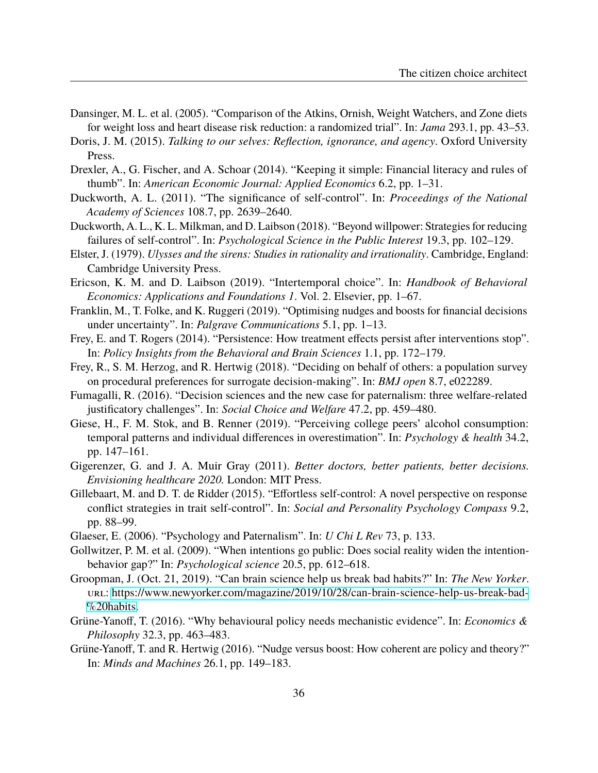- <span id="page-35-2"></span>Dansinger, M. L. et al. (2005). "Comparison of the Atkins, Ornish, Weight Watchers, and Zone diets for weight loss and heart disease risk reduction: a randomized trial". In: *Jama* 293.1, pp. 43–53.
- <span id="page-35-6"></span>Doris, J. M. (2015). *Talking to our selves: Reflection, ignorance, and agency*. Oxford University Press.
- <span id="page-35-4"></span>Drexler, A., G. Fischer, and A. Schoar (2014). "Keeping it simple: Financial literacy and rules of thumb". In: *American Economic Journal: Applied Economics* 6.2, pp. 1–31.
- <span id="page-35-0"></span>Duckworth, A. L. (2011). "The significance of self-control". In: *Proceedings of the National Academy of Sciences* 108.7, pp. 2639–2640.
- <span id="page-35-1"></span>Duckworth, A. L., K. L. Milkman, and D. Laibson (2018). "Beyond willpower: Strategies for reducing failures of self-control". In: *Psychological Science in the Public Interest* 19.3, pp. 102–129.
- <span id="page-35-10"></span>Elster, J. (1979). *Ulysses and the sirens: Studies in rationality and irrationality*. Cambridge, England: Cambridge University Press.
- <span id="page-35-15"></span>Ericson, K. M. and D. Laibson (2019). "Intertemporal choice". In: *Handbook of Behavioral Economics: Applications and Foundations 1*. Vol. 2. Elsevier, pp. 1–67.
- <span id="page-35-16"></span>Franklin, M., T. Folke, and K. Ruggeri (2019). "Optimising nudges and boosts for financial decisions under uncertainty". In: *Palgrave Communications* 5.1, pp. 1–13.
- <span id="page-35-13"></span>Frey, E. and T. Rogers (2014). "Persistence: How treatment effects persist after interventions stop". In: *Policy Insights from the Behavioral and Brain Sciences* 1.1, pp. 172–179.
- <span id="page-35-9"></span>Frey, R., S. M. Herzog, and R. Hertwig (2018). "Deciding on behalf of others: a population survey on procedural preferences for surrogate decision-making". In: *BMJ open* 8.7, e022289.
- <span id="page-35-14"></span>Fumagalli, R. (2016). "Decision sciences and the new case for paternalism: three welfare-related justificatory challenges". In: *Social Choice and Welfare* 47.2, pp. 459–480.
- <span id="page-35-12"></span>Giese, H., F. M. Stok, and B. Renner (2019). "Perceiving college peers' alcohol consumption: temporal patterns and individual differences in overestimation". In: *Psychology & health* 34.2, pp. 147–161.
- <span id="page-35-17"></span>Gigerenzer, G. and J. A. Muir Gray (2011). *Better doctors, better patients, better decisions. Envisioning healthcare 2020.* London: MIT Press.
- <span id="page-35-11"></span>Gillebaart, M. and D. T. de Ridder (2015). "Effortless self-control: A novel perspective on response conflict strategies in trait self-control". In: *Social and Personality Psychology Compass* 9.2, pp. 88–99.
- <span id="page-35-5"></span>Glaeser, E. (2006). "Psychology and Paternalism". In: *U Chi L Rev* 73, p. 133.
- <span id="page-35-18"></span>Gollwitzer, P. M. et al. (2009). "When intentions go public: Does social reality widen the intentionbehavior gap?" In: *Psychological science* 20.5, pp. 612–618.
- <span id="page-35-3"></span>Groopman, J. (Oct. 21, 2019). "Can brain science help us break bad habits?" In: *The New Yorker*. url: [https://www.newyorker.com/magazine/2019/10/28/can-brain-science-help-us-break-bad-](https://www.newyorker.com/magazine/2019/10/28/can-brain-science-help-us-break-bad-%20habits) [%20habits.](https://www.newyorker.com/magazine/2019/10/28/can-brain-science-help-us-break-bad-%20habits)
- <span id="page-35-7"></span>Grüne-Yanoff, T. (2016). "Why behavioural policy needs mechanistic evidence". In: *Economics & Philosophy* 32.3, pp. 463–483.
- <span id="page-35-8"></span>Grüne-Yanoff, T. and R. Hertwig (2016). "Nudge versus boost: How coherent are policy and theory?" In: *Minds and Machines* 26.1, pp. 149–183.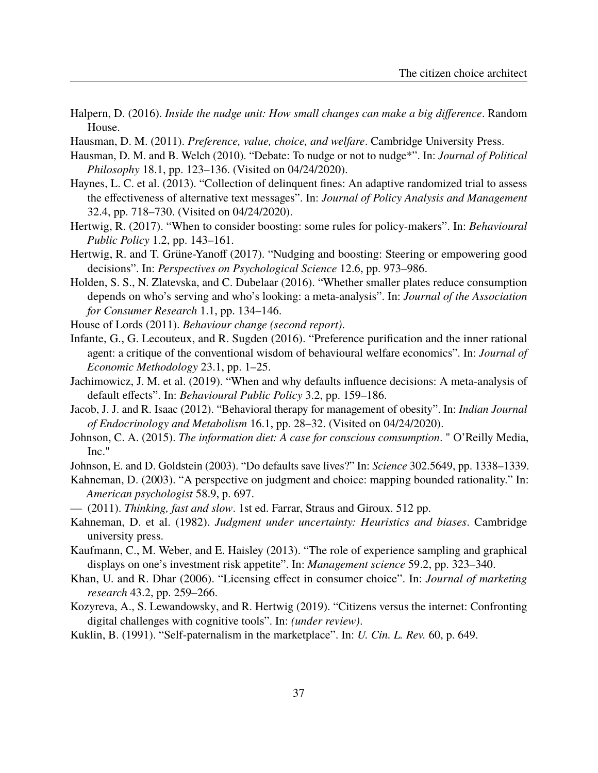- <span id="page-36-3"></span>Halpern, D. (2016). *Inside the nudge unit: How small changes can make a big difference*. Random House.
- <span id="page-36-13"></span>Hausman, D. M. (2011). *Preference, value, choice, and welfare*. Cambridge University Press.
- <span id="page-36-6"></span>Hausman, D. M. and B. Welch (2010). "Debate: To nudge or not to nudge\*". In: *Journal of Political Philosophy* 18.1, pp. 123–136. (Visited on 04/24/2020).
- <span id="page-36-19"></span>Haynes, L. C. et al. (2013). "Collection of delinquent fines: An adaptive randomized trial to assess the effectiveness of alternative text messages". In: *Journal of Policy Analysis and Management* 32.4, pp. 718–730. (Visited on 04/24/2020).
- <span id="page-36-8"></span>Hertwig, R. (2017). "When to consider boosting: some rules for policy-makers". In: *Behavioural Public Policy* 1.2, pp. 143–161.
- <span id="page-36-1"></span>Hertwig, R. and T. Grüne-Yanoff (2017). "Nudging and boosting: Steering or empowering good decisions". In: *Perspectives on Psychological Science* 12.6, pp. 973–986.
- <span id="page-36-2"></span>Holden, S. S., N. Zlatevska, and C. Dubelaar (2016). "Whether smaller plates reduce consumption depends on who's serving and who's looking: a meta-analysis". In: *Journal of the Association for Consumer Research* 1.1, pp. 134–146.
- <span id="page-36-5"></span>House of Lords (2011). *Behaviour change (second report)*.
- <span id="page-36-10"></span>Infante, G., G. Lecouteux, and R. Sugden (2016). "Preference purification and the inner rational agent: a critique of the conventional wisdom of behavioural welfare economics". In: *Journal of Economic Methodology* 23.1, pp. 1–25.
- <span id="page-36-4"></span>Jachimowicz, J. M. et al. (2019). "When and why defaults influence decisions: A meta-analysis of default effects". In: *Behavioural Public Policy* 3.2, pp. 159–186.
- <span id="page-36-18"></span>Jacob, J. J. and R. Isaac (2012). "Behavioral therapy for management of obesity". In: *Indian Journal of Endocrinology and Metabolism* 16.1, pp. 28–32. (Visited on 04/24/2020).
- <span id="page-36-0"></span>Johnson, C. A. (2015). *The information diet: A case for conscious comsumption*. " O'Reilly Media, Inc."
- <span id="page-36-7"></span>Johnson, E. and D. Goldstein (2003). "Do defaults save lives?" In: *Science* 302.5649, pp. 1338–1339.
- <span id="page-36-15"></span>Kahneman, D. (2003). "A perspective on judgment and choice: mapping bounded rationality." In: *American psychologist* 58.9, p. 697.
- <span id="page-36-16"></span>— (2011). *Thinking, fast and slow*. 1st ed. Farrar, Straus and Giroux. 512 pp.
- <span id="page-36-14"></span>Kahneman, D. et al. (1982). *Judgment under uncertainty: Heuristics and biases*. Cambridge university press.
- <span id="page-36-17"></span>Kaufmann, C., M. Weber, and E. Haisley (2013). "The role of experience sampling and graphical displays on one's investment risk appetite". In: *Management science* 59.2, pp. 323–340.
- <span id="page-36-9"></span>Khan, U. and R. Dhar (2006). "Licensing effect in consumer choice". In: *Journal of marketing research* 43.2, pp. 259–266.
- <span id="page-36-11"></span>Kozyreva, A., S. Lewandowsky, and R. Hertwig (2019). "Citizens versus the internet: Confronting digital challenges with cognitive tools". In: *(under review)*.
- <span id="page-36-12"></span>Kuklin, B. (1991). "Self-paternalism in the marketplace". In: *U. Cin. L. Rev.* 60, p. 649.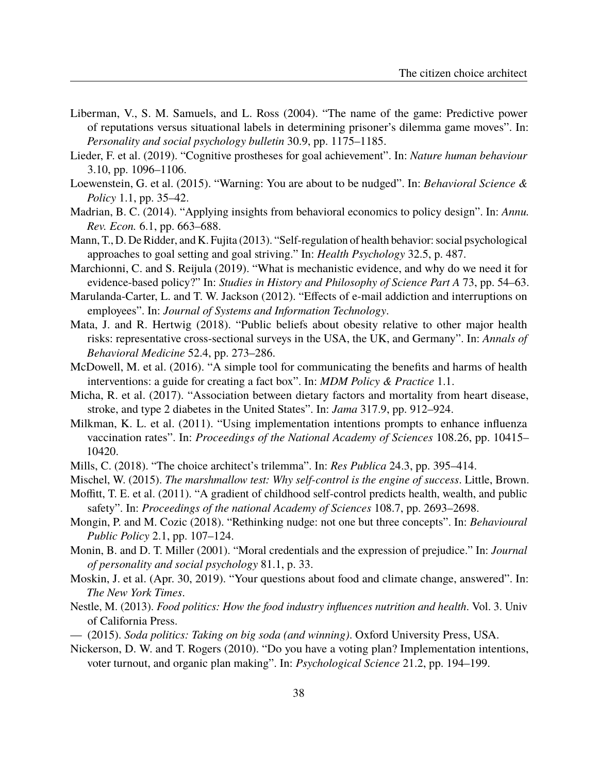- <span id="page-37-9"></span>Liberman, V., S. M. Samuels, and L. Ross (2004). "The name of the game: Predictive power of reputations versus situational labels in determining prisoner's dilemma game moves". In: *Personality and social psychology bulletin* 30.9, pp. 1175–1185.
- <span id="page-37-16"></span>Lieder, F. et al. (2019). "Cognitive prostheses for goal achievement". In: *Nature human behaviour* 3.10, pp. 1096–1106.
- <span id="page-37-4"></span>Loewenstein, G. et al. (2015). "Warning: You are about to be nudged". In: *Behavioral Science & Policy* 1.1, pp. 35–42.
- <span id="page-37-6"></span>Madrian, B. C. (2014). "Applying insights from behavioral economics to policy design". In: *Annu. Rev. Econ.* 6.1, pp. 663–688.
- <span id="page-37-14"></span>Mann, T., D. De Ridder, and K. Fujita (2013). "Self-regulation of health behavior: social psychological approaches to goal setting and goal striving." In: *Health Psychology* 32.5, p. 487.
- <span id="page-37-15"></span>Marchionni, C. and S. Reijula (2019). "What is mechanistic evidence, and why do we need it for evidence-based policy?" In: *Studies in History and Philosophy of Science Part A* 73, pp. 54–63.
- <span id="page-37-12"></span>Marulanda-Carter, L. and T. W. Jackson (2012). "Effects of e-mail addiction and interruptions on employees". In: *Journal of Systems and Information Technology*.
- <span id="page-37-17"></span>Mata, J. and R. Hertwig (2018). "Public beliefs about obesity relative to other major health risks: representative cross-sectional surveys in the USA, the UK, and Germany". In: *Annals of Behavioral Medicine* 52.4, pp. 273–286.
- <span id="page-37-18"></span>McDowell, M. et al. (2016). "A simple tool for communicating the benefits and harms of health interventions: a guide for creating a fact box". In: *MDM Policy & Practice* 1.1.
- <span id="page-37-2"></span>Micha, R. et al. (2017). "Association between dietary factors and mortality from heart disease, stroke, and type 2 diabetes in the United States". In: *Jama* 317.9, pp. 912–924.
- <span id="page-37-7"></span>Milkman, K. L. et al. (2011). "Using implementation intentions prompts to enhance influenza vaccination rates". In: *Proceedings of the National Academy of Sciences* 108.26, pp. 10415– 10420.
- <span id="page-37-10"></span>Mills, C. (2018). "The choice architect's trilemma". In: *Res Publica* 24.3, pp. 395–414.
- <span id="page-37-13"></span>Mischel, W. (2015). *The marshmallow test: Why self-control is the engine of success*. Little, Brown.
- <span id="page-37-3"></span>Moffitt, T. E. et al. (2011). "A gradient of childhood self-control predicts health, wealth, and public safety". In: *Proceedings of the national Academy of Sciences* 108.7, pp. 2693–2698.
- <span id="page-37-5"></span>Mongin, P. and M. Cozic (2018). "Rethinking nudge: not one but three concepts". In: *Behavioural Public Policy* 2.1, pp. 107–124.
- <span id="page-37-19"></span>Monin, B. and D. T. Miller (2001). "Moral credentials and the expression of prejudice." In: *Journal of personality and social psychology* 81.1, p. 33.
- <span id="page-37-11"></span>Moskin, J. et al. (Apr. 30, 2019). "Your questions about food and climate change, answered". In: *The New York Times*.
- <span id="page-37-0"></span>Nestle, M. (2013). *Food politics: How the food industry influences nutrition and health*. Vol. 3. Univ of California Press.
- <span id="page-37-1"></span>— (2015). *Soda politics: Taking on big soda (and winning)*. Oxford University Press, USA.
- <span id="page-37-8"></span>Nickerson, D. W. and T. Rogers (2010). "Do you have a voting plan? Implementation intentions, voter turnout, and organic plan making". In: *Psychological Science* 21.2, pp. 194–199.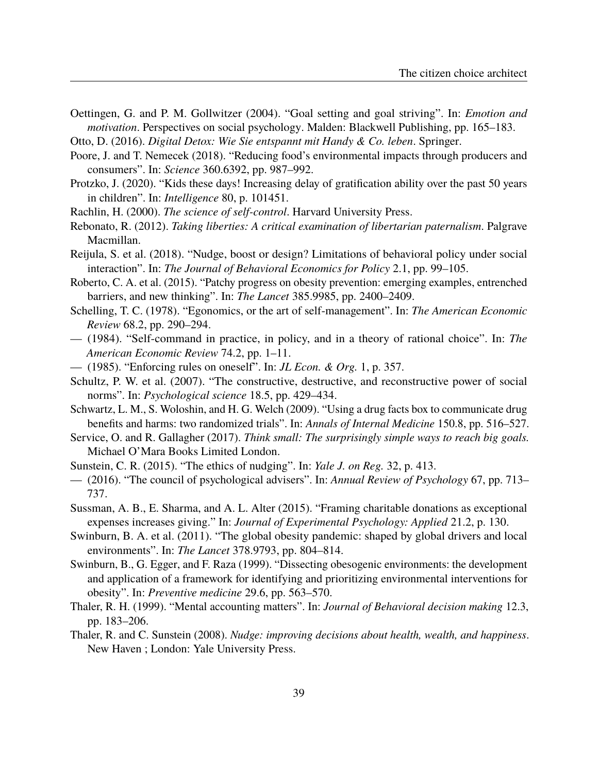- <span id="page-38-18"></span>Oettingen, G. and P. M. Gollwitzer (2004). "Goal setting and goal striving". In: *Emotion and motivation*. Perspectives on social psychology. Malden: Blackwell Publishing, pp. 165–183.
- <span id="page-38-5"></span>Otto, D. (2016). *Digital Detox: Wie Sie entspannt mit Handy & Co. leben*. Springer.
- <span id="page-38-14"></span>Poore, J. and T. Nemecek (2018). "Reducing food's environmental impacts through producers and consumers". In: *Science* 360.6392, pp. 987–992.
- <span id="page-38-17"></span>Protzko, J. (2020). "Kids these days! Increasing delay of gratification ability over the past 50 years in children". In: *Intelligence* 80, p. 101451.
- <span id="page-38-1"></span>Rachlin, H. (2000). *The science of self-control*. Harvard University Press.
- <span id="page-38-11"></span>Rebonato, R. (2012). *Taking liberties: A critical examination of libertarian paternalism*. Palgrave Macmillan.
- <span id="page-38-13"></span>Reijula, S. et al. (2018). "Nudge, boost or design? Limitations of behavioral policy under social interaction". In: *The Journal of Behavioral Economics for Policy* 2.1, pp. 99–105.
- <span id="page-38-3"></span>Roberto, C. A. et al. (2015). "Patchy progress on obesity prevention: emerging examples, entrenched barriers, and new thinking". In: *The Lancet* 385.9985, pp. 2400–2409.
- <span id="page-38-9"></span>Schelling, T. C. (1978). "Egonomics, or the art of self-management". In: *The American Economic Review* 68.2, pp. 290–294.
- <span id="page-38-0"></span>— (1984). "Self-command in practice, in policy, and in a theory of rational choice". In: *The American Economic Review* 74.2, pp. 1–11.
- <span id="page-38-19"></span>— (1985). "Enforcing rules on oneself". In: *JL Econ. & Org.* 1, p. 357.
- <span id="page-38-16"></span>Schultz, P. W. et al. (2007). "The constructive, destructive, and reconstructive power of social norms". In: *Psychological science* 18.5, pp. 429–434.
- <span id="page-38-20"></span>Schwartz, L. M., S. Woloshin, and H. G. Welch (2009). "Using a drug facts box to communicate drug benefits and harms: two randomized trials". In: *Annals of Internal Medicine* 150.8, pp. 516–527.
- <span id="page-38-8"></span>Service, O. and R. Gallagher (2017). *Think small: The surprisingly simple ways to reach big goals.* Michael O'Mara Books Limited London.
- <span id="page-38-12"></span>Sunstein, C. R. (2015). "The ethics of nudging". In: *Yale J. on Reg.* 32, p. 413.
- <span id="page-38-7"></span>— (2016). "The council of psychological advisers". In: *Annual Review of Psychology* 67, pp. 713– 737.
- <span id="page-38-15"></span>Sussman, A. B., E. Sharma, and A. L. Alter (2015). "Framing charitable donations as exceptional expenses increases giving." In: *Journal of Experimental Psychology: Applied* 21.2, p. 130.
- <span id="page-38-2"></span>Swinburn, B. A. et al. (2011). "The global obesity pandemic: shaped by global drivers and local environments". In: *The Lancet* 378.9793, pp. 804–814.
- <span id="page-38-4"></span>Swinburn, B., G. Egger, and F. Raza (1999). "Dissecting obesogenic environments: the development and application of a framework for identifying and prioritizing environmental interventions for obesity". In: *Preventive medicine* 29.6, pp. 563–570.
- <span id="page-38-10"></span>Thaler, R. H. (1999). "Mental accounting matters". In: *Journal of Behavioral decision making* 12.3, pp. 183–206.
- <span id="page-38-6"></span>Thaler, R. and C. Sunstein (2008). *Nudge: improving decisions about health, wealth, and happiness*. New Haven ; London: Yale University Press.